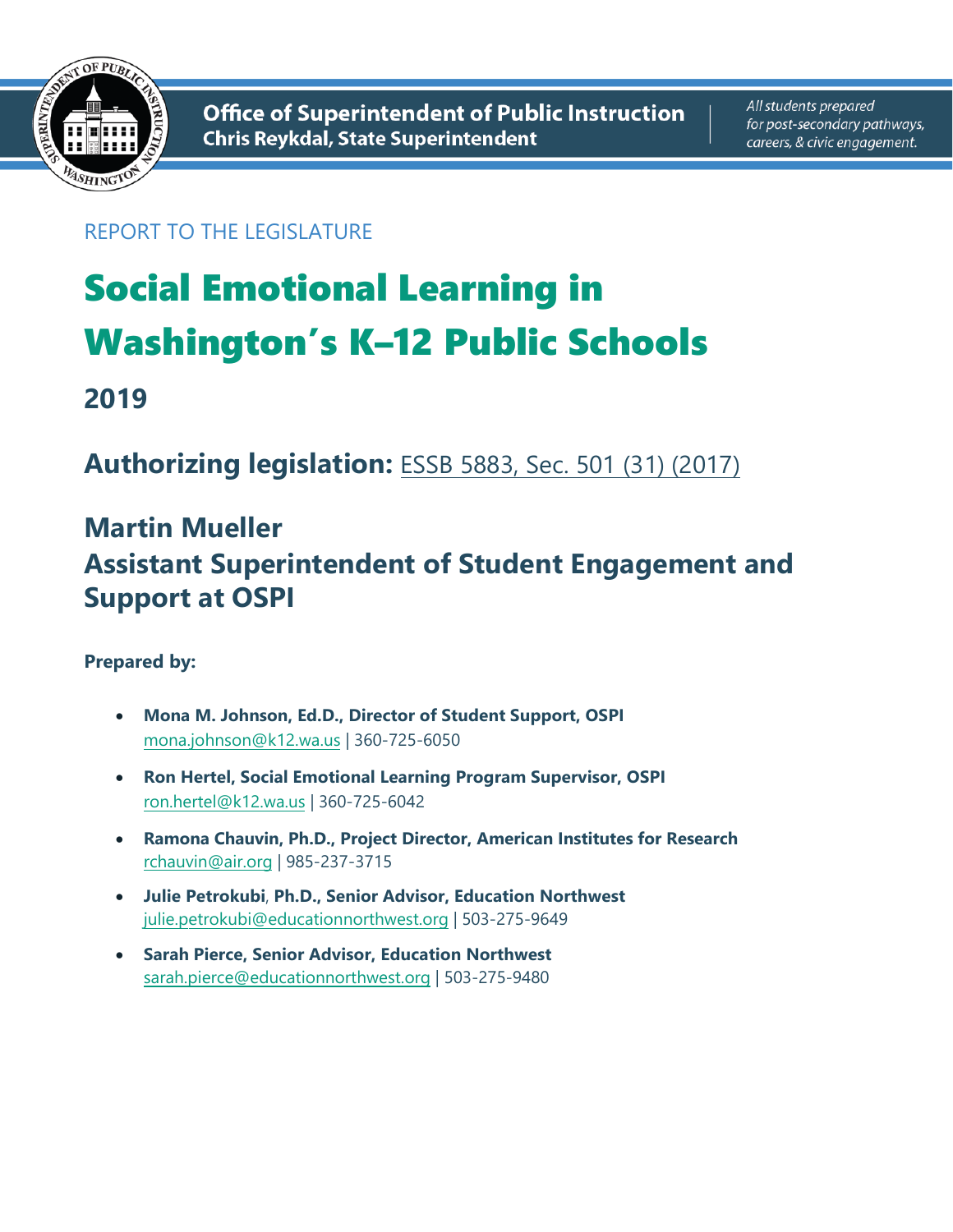

# REPORT TO THE LEGISLATURE

# Social Emotional Learning in Washington's K–12 Public Schools

**2019** 

**Authorizing legislation:** ESSB 5883, Sec. 501 (31) (2017)

# **Martin Mueller Assistant Superintendent [of Student Engagement and](http://lawfilesext.leg.wa.gov/biennium/2017-18/Pdf/Bills/Session%20Laws/Senate/5883-S.SL.pdf)  Support at OSPI**

### **Prepared by:**

- **Mona M. Johnson, Ed.D., Director of Student Support, OSPI** mona.johnson@k12.wa.us | 360-725-6050
- **Ron Hertel, Social Emotional Learning Program Supervisor, OSPI** ron.hertel@k12.wa.us | 360-725-6042
- **Ramona Chauvin, Ph.D., Project Director, American Institutes for Research** rchauvin@air.org | 985-237-3715
- **Julie Petrokubi**, **Ph.D., Senior Advisor, Education Northwest** julie.petrokubi@educationnorthwest.org | 503-275-9649
- **Sarah Pierce, Senior Advisor, Education Northwest** sarah.pierce@educationnorthwest.org | 503-275-9480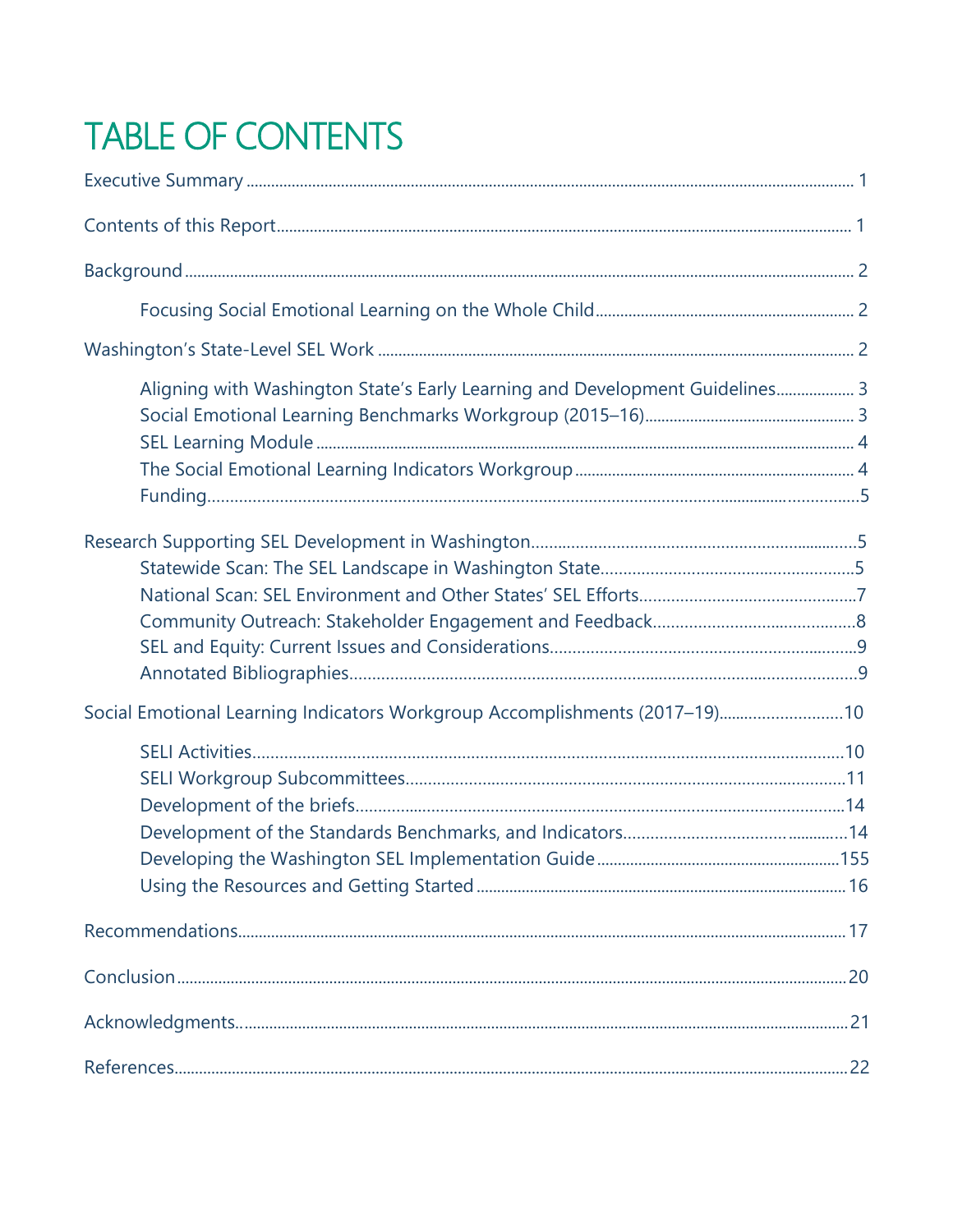# TABLE OF CONTENTS

| Aligning with Washington State's Early Learning and Development Guidelines 3 |  |
|------------------------------------------------------------------------------|--|
|                                                                              |  |
| Social Emotional Learning Indicators Workgroup Accomplishments (2017-19)10   |  |
|                                                                              |  |
|                                                                              |  |
|                                                                              |  |
|                                                                              |  |
|                                                                              |  |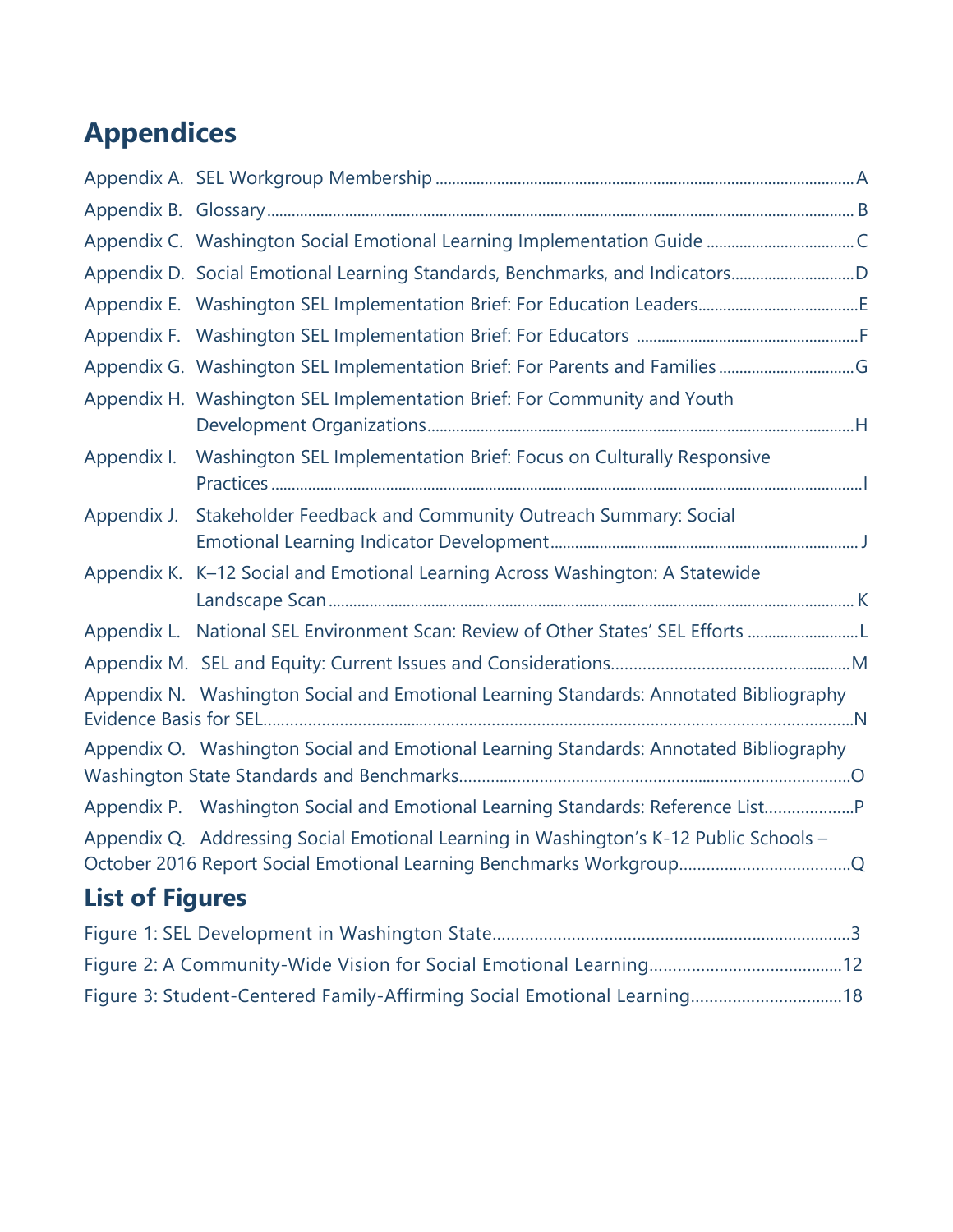# **Appendices**

|                        | Appendix D. Social Emotional Learning Standards, Benchmarks, and IndicatorsD           |  |
|------------------------|----------------------------------------------------------------------------------------|--|
|                        |                                                                                        |  |
|                        |                                                                                        |  |
|                        |                                                                                        |  |
|                        | Appendix H. Washington SEL Implementation Brief: For Community and Youth               |  |
| Appendix I.            | Washington SEL Implementation Brief: Focus on Culturally Responsive                    |  |
| Appendix J.            | Stakeholder Feedback and Community Outreach Summary: Social                            |  |
|                        | Appendix K. K-12 Social and Emotional Learning Across Washington: A Statewide          |  |
|                        | Appendix L. National SEL Environment Scan: Review of Other States' SEL Efforts         |  |
|                        |                                                                                        |  |
|                        | Appendix N. Washington Social and Emotional Learning Standards: Annotated Bibliography |  |
|                        | Appendix O. Washington Social and Emotional Learning Standards: Annotated Bibliography |  |
|                        | Appendix P. Washington Social and Emotional Learning Standards: Reference List         |  |
|                        | Appendix Q. Addressing Social Emotional Learning in Washington's K-12 Public Schools - |  |
| <b>List of Figures</b> |                                                                                        |  |

| Figure 3: Student-Centered Family-Affirming Social Emotional Learning18 |  |
|-------------------------------------------------------------------------|--|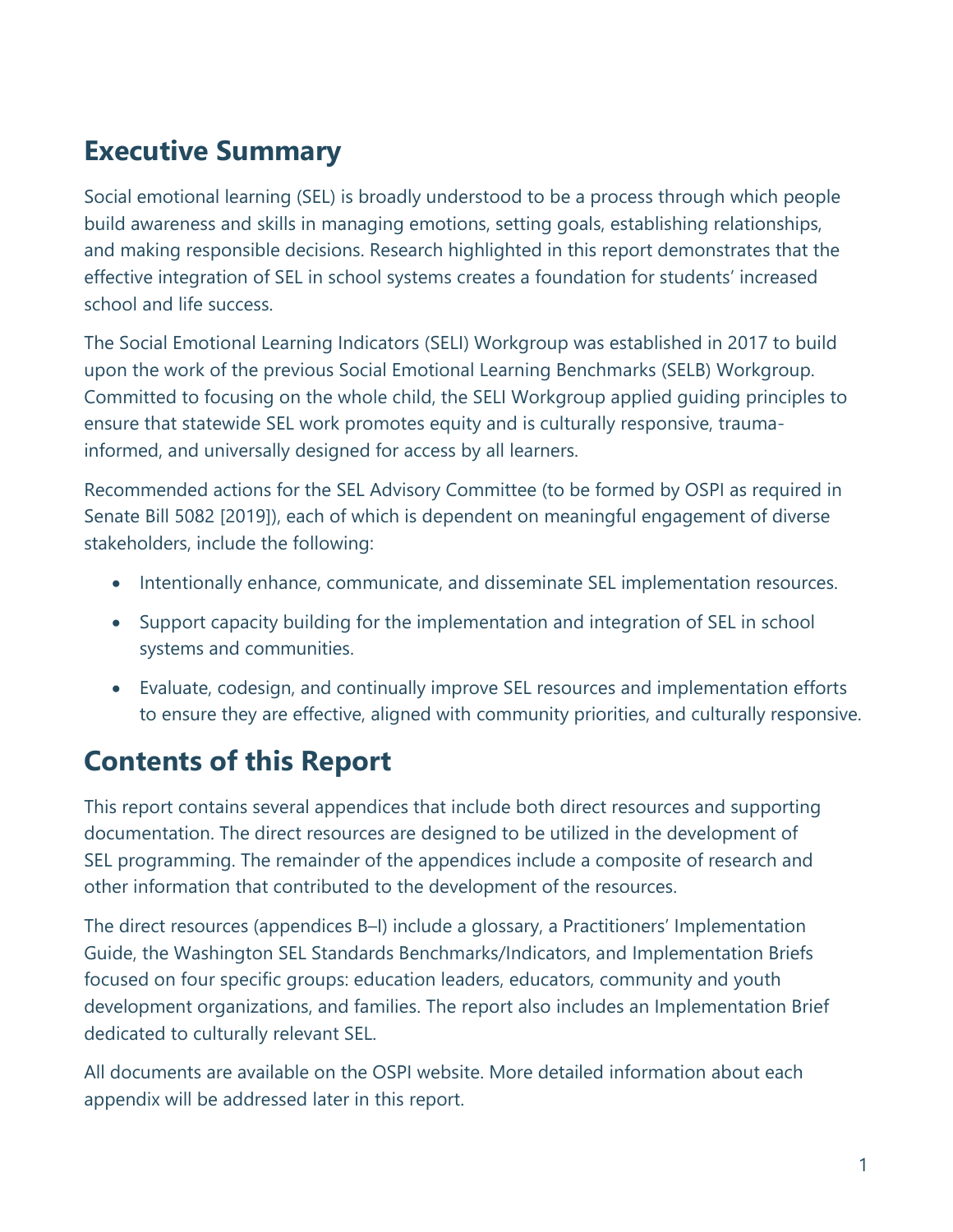# <span id="page-3-0"></span>**Executive Summary**

Social emotional learning (SEL) is broadly understood to be a process through which people build awareness and skills in managing emotions, setting goals, establishing relationships, and making responsible decisions. Research highlighted in this report demonstrates that the effective integration of SEL in school systems creates a foundation for students' increased school and life success.

The Social Emotional Learning Indicators (SELI) Workgroup was established in 2017 to build upon the work of the previous Social Emotional Learning Benchmarks (SELB) Workgroup. Committed to focusing on the whole child, the SELI Workgroup applied guiding principles to ensure that statewide SEL work promotes equity and is culturally responsive, traumainformed, and universally designed for access by all learners.

Recommended actions for the SEL Advisory Committee (to be formed by OSPI as required in Senate Bill 5082 [2019]), each of which is dependent on meaningful engagement of diverse stakeholders, include the following:

- Intentionally enhance, communicate, and disseminate SEL implementation resources.
- Support capacity building for the implementation and integration of SEL in school systems and communities.
- Evaluate, codesign, and continually improve SEL resources and implementation efforts to ensure they are effective, aligned with community priorities, and culturally responsive.

# **Contents of this Report**

This report contains several appendices that include both direct resources and supporting documentation. The direct resources are designed to be utilized in the development of SEL programming. The remainder of the appendices include a composite of research and other information that contributed to the development of the resources.

The direct resources (appendices B–I) include a glossary, a Practitioners' Implementation Guide, the Washington SEL Standards Benchmarks/Indicators, and Implementation Briefs focused on four specific groups: education leaders, educators, community and youth development organizations, and families. The report also includes an Implementation Brief dedicated to culturally relevant SEL.

All documents are available on the OSPI website. More detailed information about each appendix will be addressed later in this report.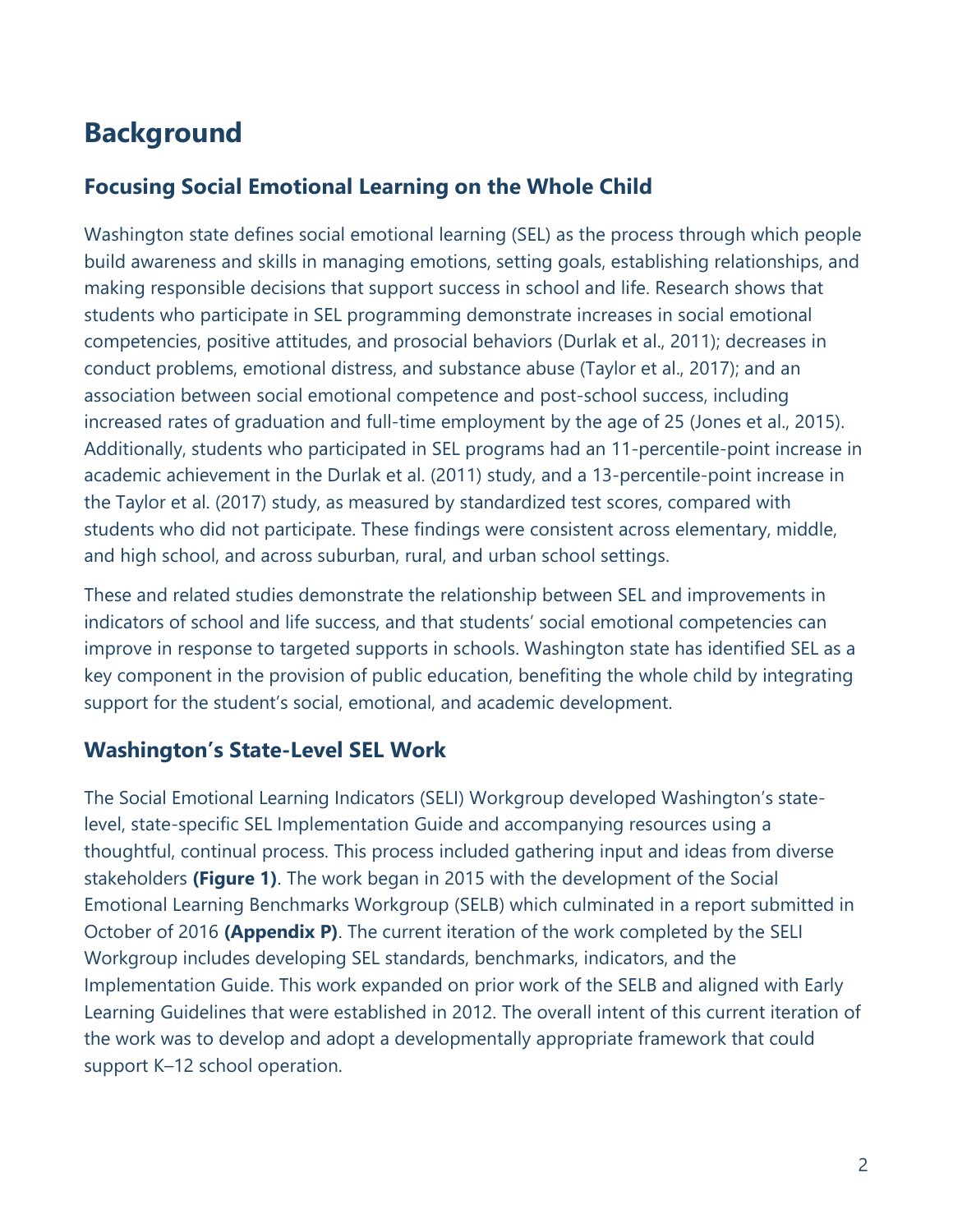# <span id="page-4-0"></span>**Background**

# <span id="page-4-1"></span>**Focusing Social Emotional Learning on the Whole Child**

Washington state defines social emotional learning (SEL) as the process through which people build awareness and skills in managing emotions, setting goals, establishing relationships, and making responsible decisions that support success in school and life. Research shows that students who participate in SEL programming demonstrate increases in social emotional competencies, positive attitudes, and prosocial behaviors (Durlak et al., 2011); decreases in conduct problems, emotional distress, and substance abuse (Taylor et al., 2017); and an association between social emotional competence and post-school success, including increased rates of graduation and full-time employment by the age of 25 (Jones et al., 2015). Additionally, students who participated in SEL programs had an 11-percentile-point increase in academic achievement in the Durlak et al. (2011) study, and a 13-percentile-point increase in the Taylor et al. (2017) study, as measured by standardized test scores, compared with students who did not participate. These findings were consistent across elementary, middle, and high school, and across suburban, rural, and urban school settings.

These and related studies demonstrate the relationship between SEL and improvements in indicators of school and life success, and that students' social emotional competencies can improve in response to targeted supports in schools. Washington state has identified SEL as a key component in the provision of public education, benefiting the whole child by integrating support for the student's social, emotional, and academic development.

# <span id="page-4-2"></span>**Washington's State-Level SEL Work**

The Social Emotional Learning Indicators (SELI) Workgroup developed Washington's statelevel, state-specific SEL Implementation Guide and accompanying resources using a thoughtful, continual process. This process included gathering input and ideas from diverse stakeholders **(Figure 1)**. The work began in 2015 with the development of the Social Emotional Learning Benchmarks Workgroup (SELB) which culminated in a report submitted in October of 2016 **(Appendix P)**. The current iteration of the work completed by the SELI Workgroup includes developing SEL standards, benchmarks, indicators, and the Implementation Guide. This work expanded on prior work of the SELB and aligned with Early Learning Guidelines that were established in 2012. The overall intent of this current iteration of the work was to develop and adopt a developmentally appropriate framework that could support K–12 school operation.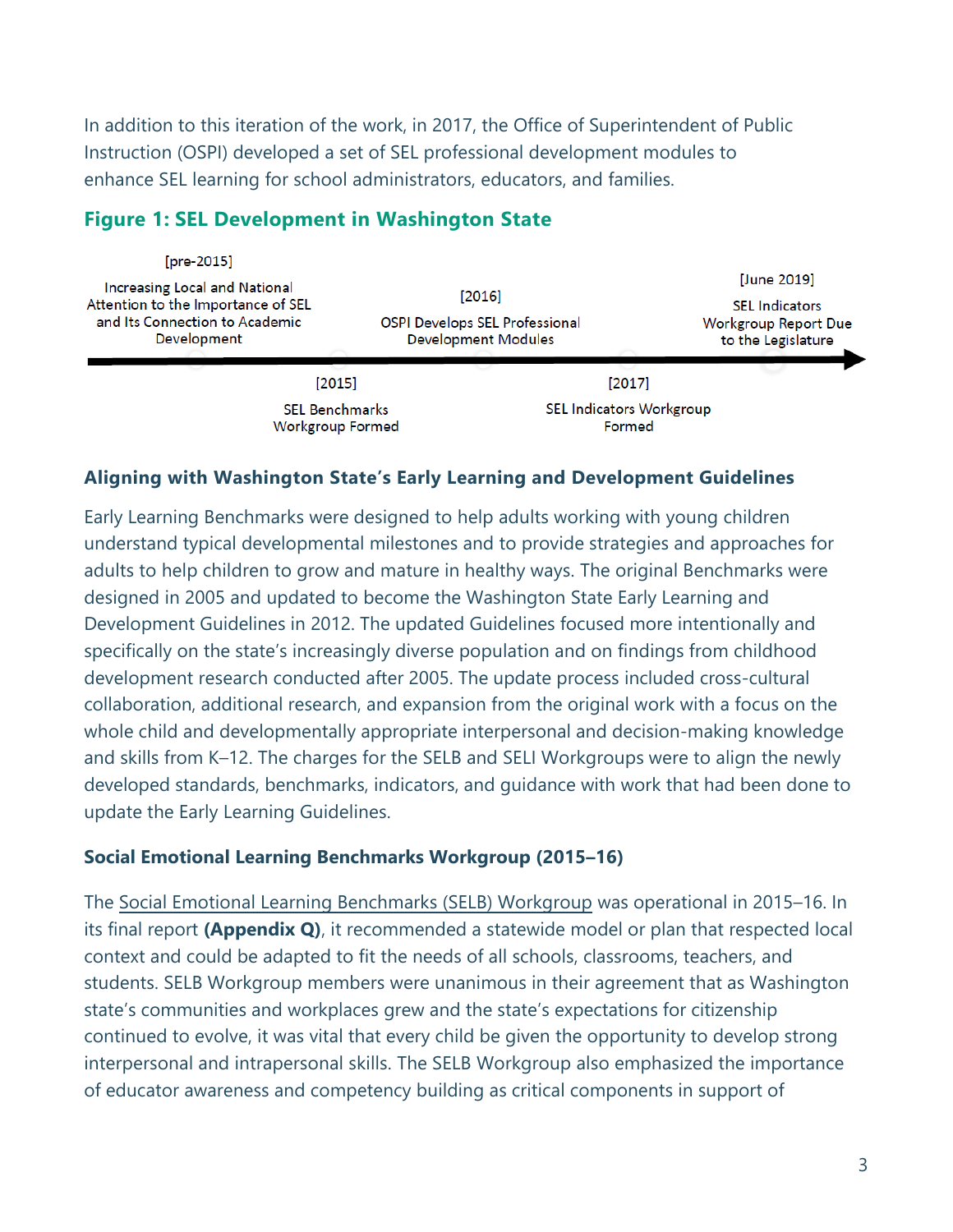In addition to this iteration of the work, in 2017, the Office of Superintendent of Public Instruction (OSPI) developed a set of SEL professional development modules to enhance SEL learning for school administrators, educators, and families.

| [pre-2015]<br><b>Increasing Local and National</b><br>Attention to the Importance of SEL<br>and Its Connection to Academic<br>Development | $[2016]$<br><b>OSPI Develops SEL Professional</b><br><b>Development Modules</b> | [June 2019]<br><b>SEL Indicators</b><br><b>Workgroup Report Due</b><br>to the Legislature |
|-------------------------------------------------------------------------------------------------------------------------------------------|---------------------------------------------------------------------------------|-------------------------------------------------------------------------------------------|
| [2015]                                                                                                                                    | [2017]                                                                          |                                                                                           |
| <b>SEL Benchmarks</b><br><b>Workgroup Formed</b>                                                                                          | <b>SEL Indicators Workgroup</b><br>Formed                                       |                                                                                           |

### **Figure 1: SEL Development in Washington State**

#### <span id="page-5-0"></span>**Aligning with Washington State's Early Learning and Development Guidelines**

Early Learning Benchmarks were designed to help adults working with young children understand typical developmental milestones and to provide strategies and approaches for adults to help children to grow and mature in healthy ways. The original Benchmarks were designed in 2005 and updated to become the Washington State Early Learning and Development Guidelines in 2012. The updated Guidelines focused more intentionally and specifically on the state's increasingly diverse population and on findings from childhood development research conducted after 2005. The update process included cross-cultural collaboration, additional research, and expansion from the original work with a focus on the whole child and developmentally appropriate interpersonal and decision-making knowledge and skills from K–12. The charges for the SELB and SELI Workgroups were to align the newly developed standards, benchmarks, indicators, and guidance with work that had been done to update the Early Learning Guidelines.

#### <span id="page-5-1"></span>**Social Emotional Learning Benchmarks Workgroup (2015–16)**

The [Social Emotional Learning Benchmarks \(SELB\) Workgrou](http://www.k12.wa.us/Workgroups/SELB-Meetings/BenchmarksWorkgroup.aspx)[p](https://www.k12.wa.us/about-ospi/workgroups-committees/currently-meeting-workgroups/social-emotional-learning-benchmarks-workgroup) [was operational in 2015](http://lawfilesext.leg.wa.gov/biennium/2015-16/Pdf/Bills/Senate%20Passed%20Legislature/6052-S.PL.pdf)–16. In its final report **(Appendix Q)**, it recommended a statewide model or plan that respected local context and could be adapted to fit the needs of all schools, classrooms, teachers, and students. SELB Workgroup members were unanimous in their agreement that as Washington state's communities and workplaces grew and the state's expectations for citizenship continued to evolve, it was vital that every child be given the opportunity to develop strong interpersonal and intrapersonal skills. The SELB Workgroup also emphasized the importance of educator awareness and competency building as critical components in support of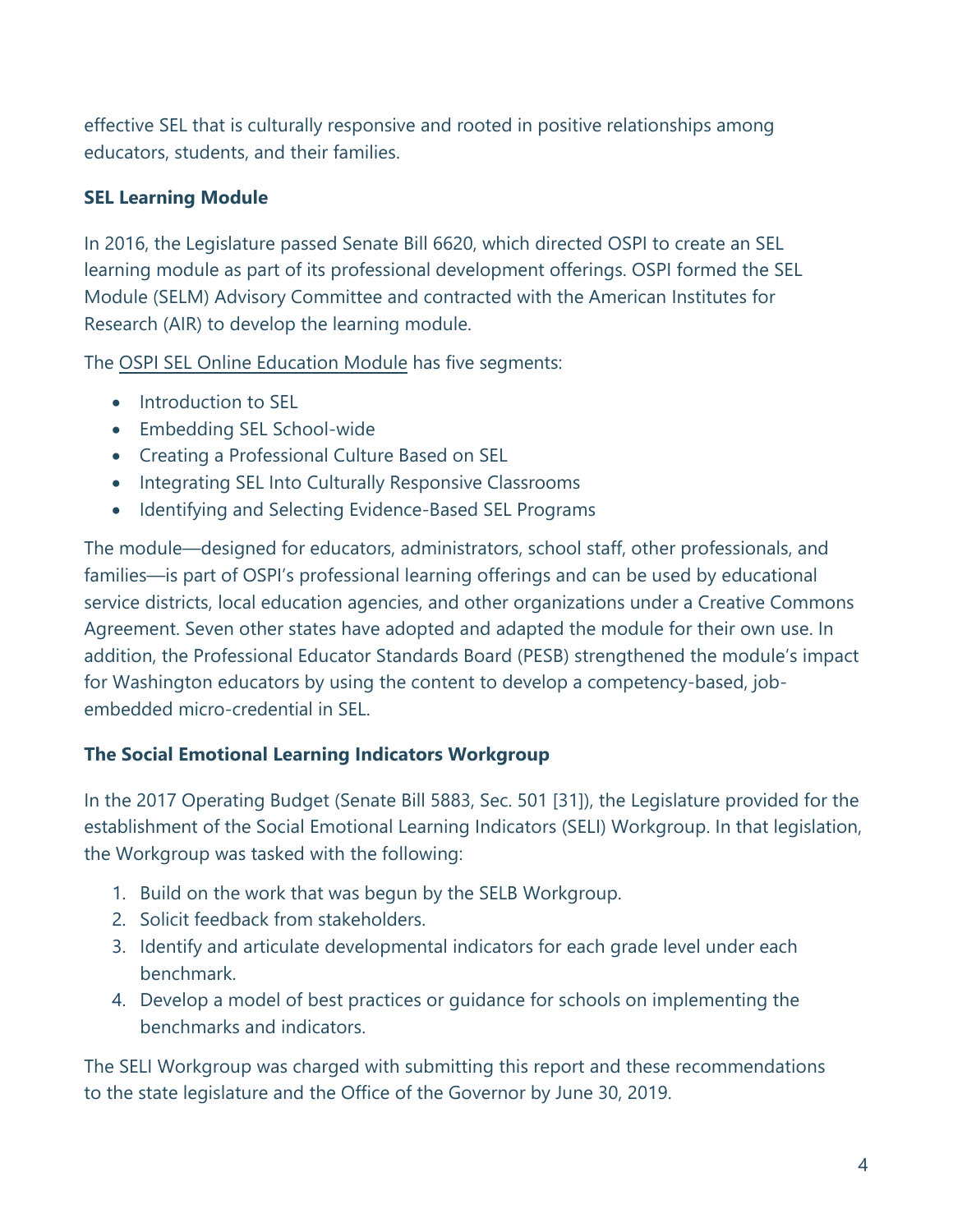effective SEL that is culturally responsive and rooted in positive relationships among educators, students, and their families.

#### <span id="page-6-0"></span>**SEL Learning Module**

In 2016, the Legislature passed Senate Bill 6620, which directed OSPI to create an SEL learning module as part of its professional development offerings. OSPI formed the SEL Module (SELM) Advisory Committee and contracted with the American Institutes for Research (AIR) to develop the learning module.

The OSPI SEL [Online Education Module](http://www.k12.wa.us/StudentSupport/SEL/OnlineModule.aspx) has five segments:

- Introduction to SEL
- Embedding SEL School-wide
- Creating a Professional Culture Based on SEL
- Integrating SEL Into Culturally Responsive Classrooms
- Identifying and Selecting Evidence-Based SEL Programs

The module—designed for educators, administrators, school staff, other professionals, and families—is part of OSPI's professional learning offerings and can be used by educational service districts, local education agencies, and other organizations under a Creative Commons Agreement. Seven other states have adopted and adapted the module for their own use. In addition, the Professional Educator Standards Board (PESB) strengthened the module's impact for Washington educators by using the content to develop a competency-based, jobembedded micro-credential in SEL.

#### <span id="page-6-1"></span>**The Social Emotional Learning Indicators Workgroup**

In the 2017 Operating Budget (Senate Bill 5883, Sec. 501 [31]), the Legislature provided for the establishment of the Social Emotional Learning Indicators (SELI) Workgroup. In that legislation, the Workgroup was tasked with the following:

- 1. Build on the work that was begun by the SELB Workgroup.
- 2. Solicit feedback from stakeholders.
- 3. Identify and articulate developmental indicators for each grade level under each benchmark.
- 4. Develop a model of best practices or guidance for schools on implementing the benchmarks and indicators.

The SELI Workgroup was charged with submitting this report and these recommendations to the state legislature and the Office of the Governor by June 30, 2019.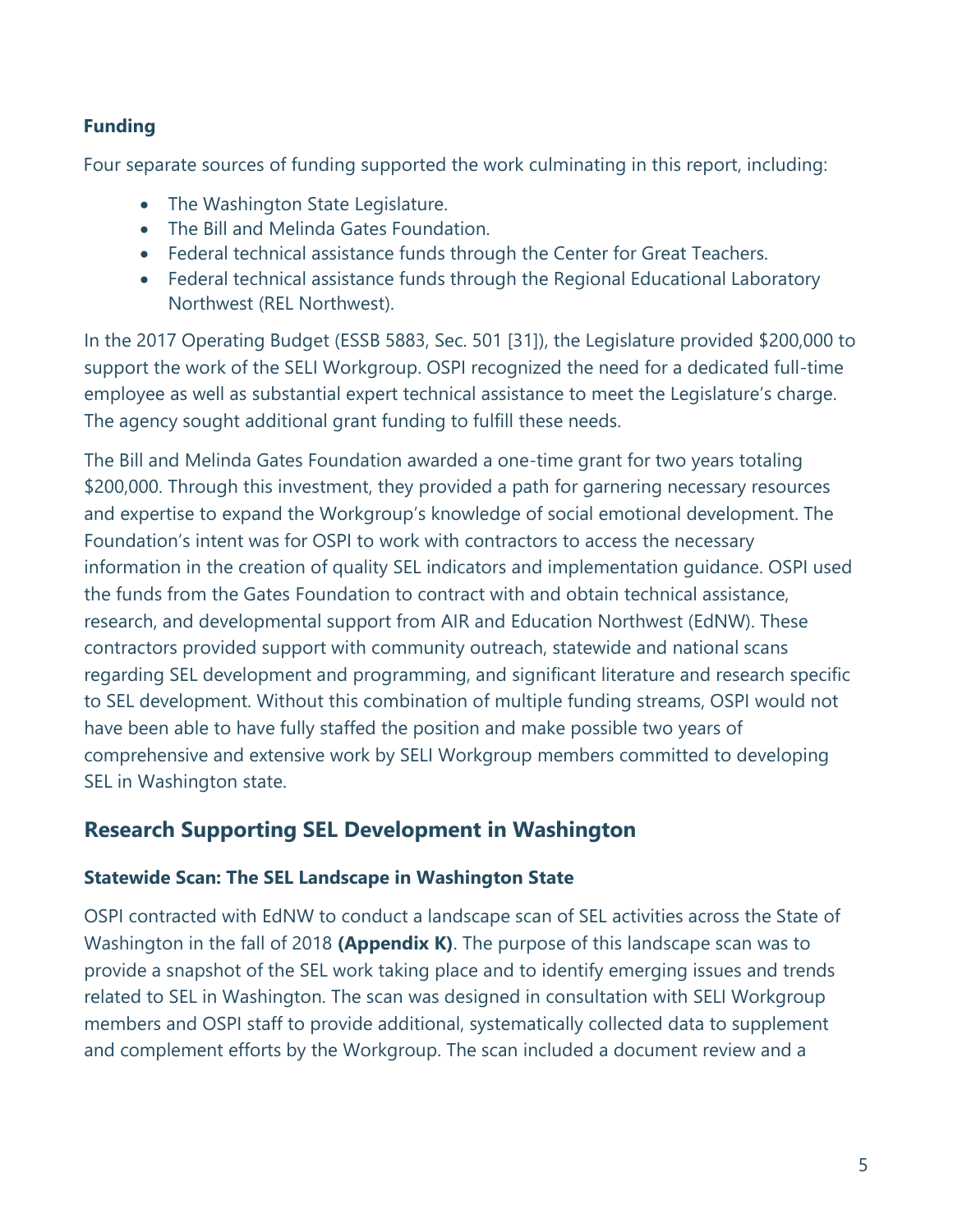#### **Funding**

Four separate sources of funding supported the work culminating in this report, including:

- The Washington State Legislature.
- The Bill and Melinda Gates Foundation.
- Federal technical assistance funds through the Center for Great Teachers.
- Federal technical assistance funds through the Regional Educational Laboratory Northwest (REL Northwest).

In the 2017 Operating Budget (ESSB 5883, Sec. 501 [31]), the Legislature provided \$200,000 to support the work of the SELI Workgroup. OSPI recognized the need for a dedicated full-time employee as well as substantial expert technical assistance to meet the Legislature's charge. The agency sought additional grant funding to fulfill these needs.

The Bill and Melinda Gates Foundation awarded a one-time grant for two years totaling \$200,000. Through this investment, they provided a path for garnering necessary resources and expertise to expand the Workgroup's knowledge of social emotional development. The Foundation's intent was for OSPI to work with contractors to access the necessary information in the creation of quality SEL indicators and implementation guidance. OSPI used the funds from the Gates Foundation to contract with and obtain technical assistance, research, and developmental support from AIR and Education Northwest (EdNW). These contractors provided support with community outreach, statewide and national scans regarding SEL development and programming, and significant literature and research specific to SEL development. Without this combination of multiple funding streams, OSPI would not have been able to have fully staffed the position and make possible two years of comprehensive and extensive work by SELI Workgroup members committed to developing SEL in Washington state.

### **Research Supporting SEL Development in Washington**

#### **Statewide Scan: The SEL Landscape in Washington State**

OSPI contracted with EdNW to conduct a landscape scan of SEL activities across the State of Washington in the fall of 2018 **(Appendix K)**. The purpose of this landscape scan was to provide a snapshot of the SEL work taking place and to identify emerging issues and trends related to SEL in Washington. The scan was designed in consultation with SELI Workgroup members and OSPI staff to provide additional, systematically collected data to supplement and complement efforts by the Workgroup. The scan included a document review and a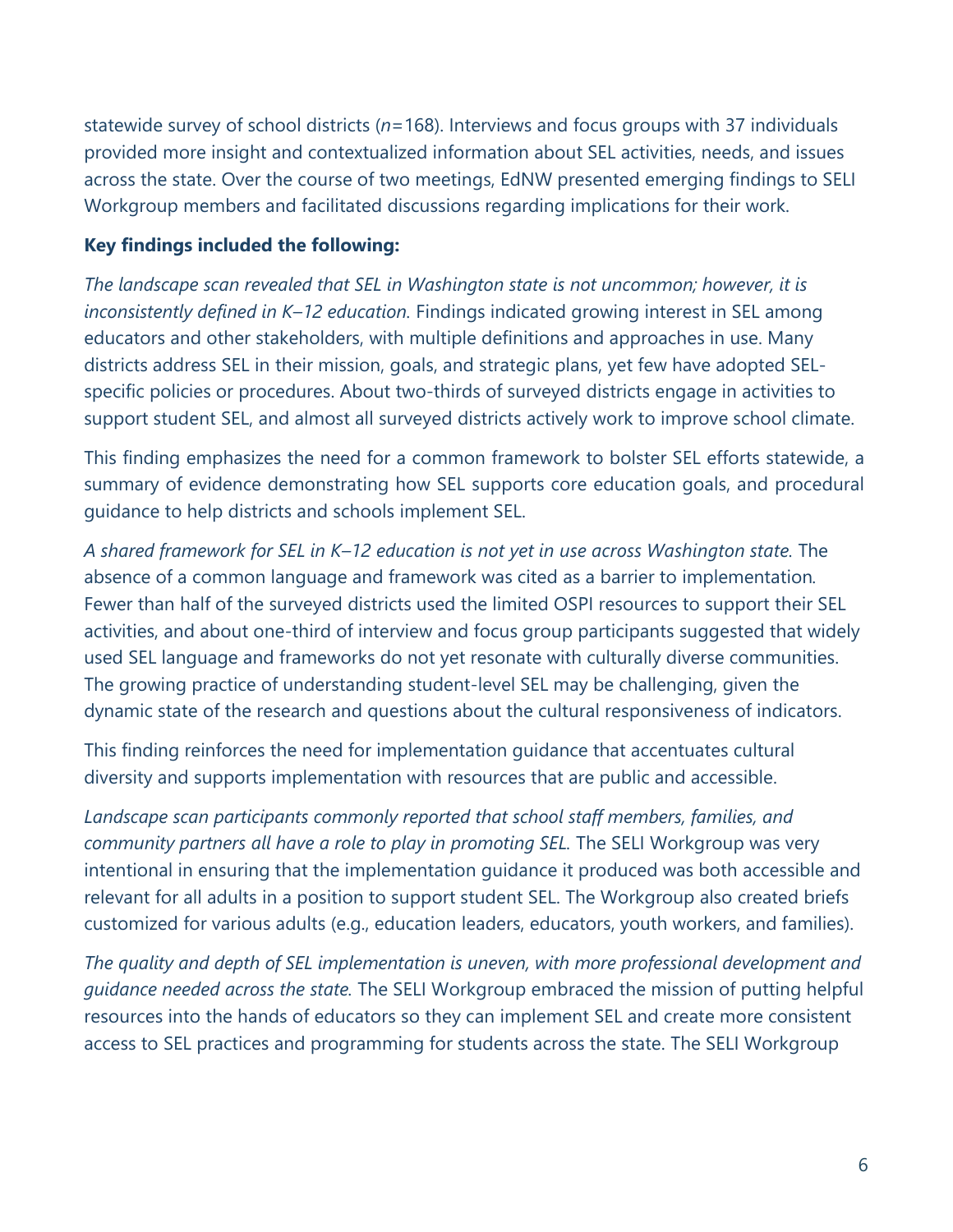statewide survey of school districts (*n*=168). Interviews and focus groups with 37 individuals provided more insight and contextualized information about SEL activities, needs, and issues across the state. Over the course of two meetings, EdNW presented emerging findings to SELI Workgroup members and facilitated discussions regarding implications for their work.

#### **Key findings included the following:**

*The landscape scan revealed that SEL in Washington state is not uncommon; however, it is inconsistently defined in K–12 education.* Findings indicated growing interest in SEL among educators and other stakeholders, with multiple definitions and approaches in use. Many districts address SEL in their mission, goals, and strategic plans, yet few have adopted SELspecific policies or procedures. About two-thirds of surveyed districts engage in activities to support student SEL, and almost all surveyed districts actively work to improve school climate.

This finding emphasizes the need for a common framework to bolster SEL efforts statewide, a summary of evidence demonstrating how SEL supports core education goals, and procedural guidance to help districts and schools implement SEL.

*A shared framework for SEL in K–12 education is not yet in use across Washington state.* The absence of a common language and framework was cited as a barrier to implementation*.*  Fewer than half of the surveyed districts used the limited OSPI resources to support their SEL activities, and about one-third of interview and focus group participants suggested that widely used SEL language and frameworks do not yet resonate with culturally diverse communities. The growing practice of understanding student-level SEL may be challenging, given the dynamic state of the research and questions about the cultural responsiveness of indicators.

This finding reinforces the need for implementation guidance that accentuates cultural diversity and supports implementation with resources that are public and accessible.

*Landscape scan participants commonly reported that school staff members, families, and community partners all have a role to play in promoting SEL.* The SELI Workgroup was very intentional in ensuring that the implementation guidance it produced was both accessible and relevant for all adults in a position to support student SEL. The Workgroup also created briefs customized for various adults (e.g., education leaders, educators, youth workers, and families).

*The quality and depth of SEL implementation is uneven, with more professional development and guidance needed across the state.* The SELI Workgroup embraced the mission of putting helpful resources into the hands of educators so they can implement SEL and create more consistent access to SEL practices and programming for students across the state. The SELI Workgroup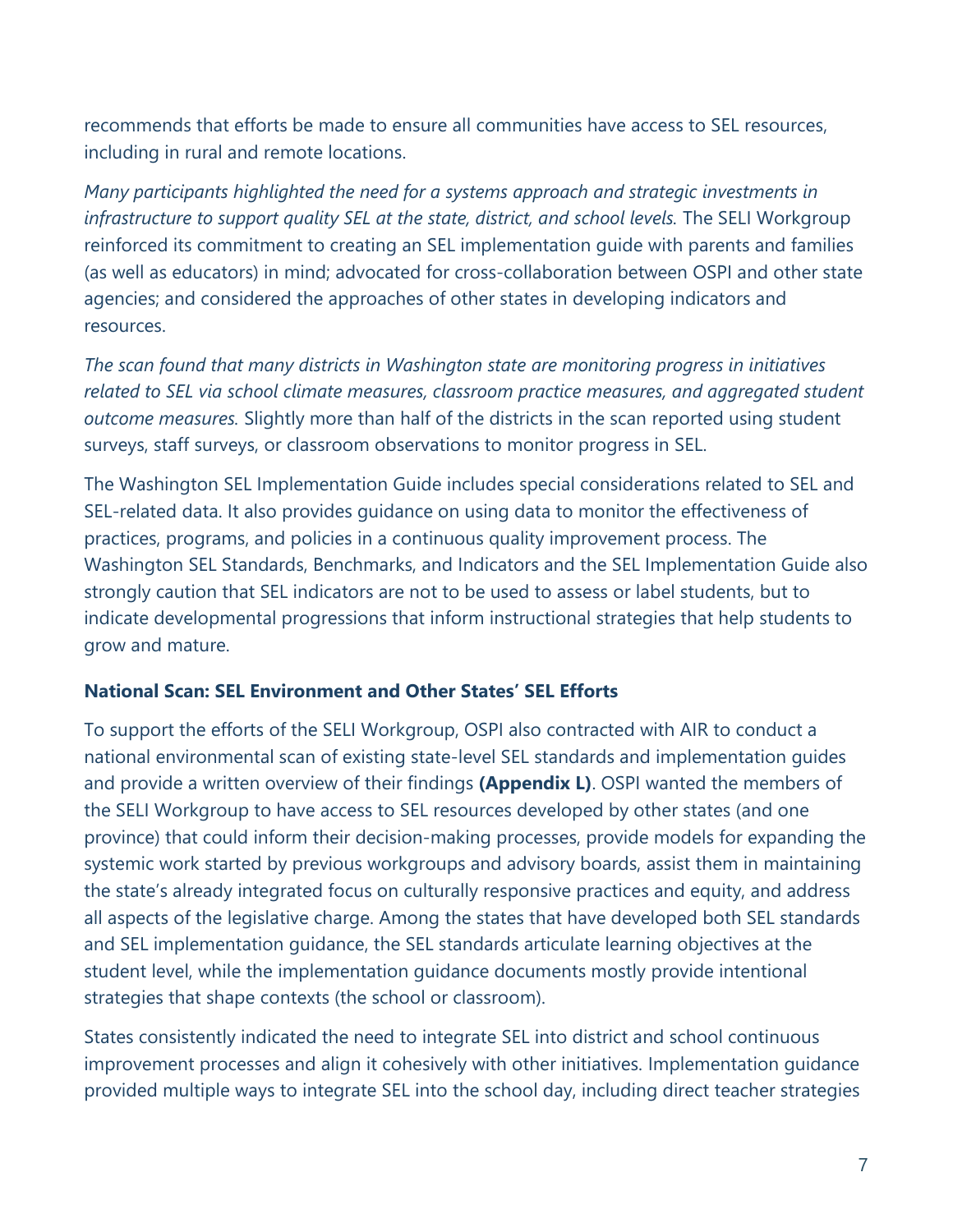recommends that efforts be made to ensure all communities have access to SEL resources, including in rural and remote locations.

*Many participants highlighted the need for a systems approach and strategic investments in infrastructure to support quality SEL at the state, district, and school levels.* The SELI Workgroup reinforced its commitment to creating an SEL implementation guide with parents and families (as well as educators) in mind; advocated for cross-collaboration between OSPI and other state agencies; and considered the approaches of other states in developing indicators and resources.

*The scan found that many districts in Washington state are monitoring progress in initiatives related to SEL via school climate measures, classroom practice measures, and aggregated student outcome measures.* Slightly more than half of the districts in the scan reported using student surveys, staff surveys, or classroom observations to monitor progress in SEL.

The Washington SEL Implementation Guide includes special considerations related to SEL and SEL-related data. It also provides guidance on using data to monitor the effectiveness of practices, programs, and policies in a continuous quality improvement process. The Washington SEL Standards, Benchmarks, and Indicators and the SEL Implementation Guide also strongly caution that SEL indicators are not to be used to assess or label students, but to indicate developmental progressions that inform instructional strategies that help students to grow and mature.

#### **National Scan: SEL Environment and Other States' SEL Efforts**

To support the efforts of the SELI Workgroup, OSPI also contracted with AIR to conduct a national environmental scan of existing state-level SEL standards and implementation guides and provide a written overview of their findings **(Appendix L)**. OSPI wanted the members of the SELI Workgroup to have access to SEL resources developed by other states (and one province) that could inform their decision-making processes, provide models for expanding the systemic work started by previous workgroups and advisory boards, assist them in maintaining the state's already integrated focus on culturally responsive practices and equity, and address all aspects of the legislative charge. Among the states that have developed both SEL standards and SEL implementation guidance, the SEL standards articulate learning objectives at the student level, while the implementation guidance documents mostly provide intentional strategies that shape contexts (the school or classroom).

States consistently indicated the need to integrate SEL into district and school continuous improvement processes and align it cohesively with other initiatives. Implementation guidance provided multiple ways to integrate SEL into the school day, including direct teacher strategies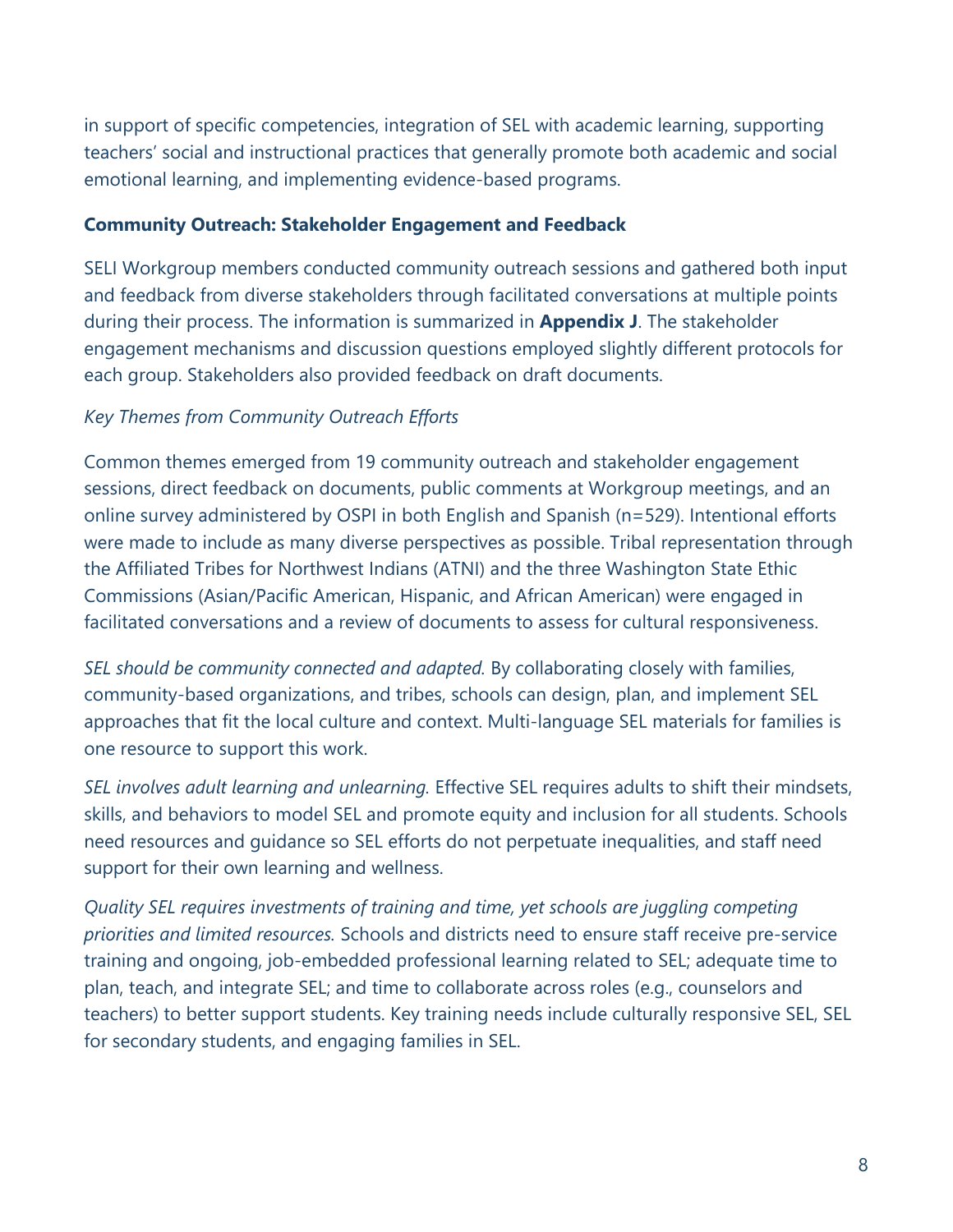in support of specific competencies, integration of SEL with academic learning, supporting teachers' social and instructional practices that generally promote both academic and social emotional learning, and implementing evidence-based programs.

#### **Community Outreach: Stakeholder Engagement and Feedback**

SELI Workgroup members conducted community outreach sessions and gathered both input and feedback from diverse stakeholders through facilitated conversations at multiple points during their process. The information is summarized in **Appendix J**. The stakeholder engagement mechanisms and discussion questions employed slightly different protocols for each group. Stakeholders also provided feedback on draft documents.

#### *Key Themes from Community Outreach Efforts*

Common themes emerged from 19 community outreach and stakeholder engagement sessions, direct feedback on documents, public comments at Workgroup meetings, and an online survey administered by OSPI in both English and Spanish (n=529). Intentional efforts were made to include as many diverse perspectives as possible. Tribal representation through the Affiliated Tribes for Northwest Indians (ATNI) and the three Washington State Ethic Commissions (Asian/Pacific American, Hispanic, and African American) were engaged in facilitated conversations and a review of documents to assess for cultural responsiveness.

*SEL should be community connected and adapted.* By collaborating closely with families, community-based organizations, and tribes, schools can design, plan, and implement SEL approaches that fit the local culture and context. Multi-language SEL materials for families is one resource to support this work.

*SEL involves adult learning and unlearning.* Effective SEL requires adults to shift their mindsets, skills, and behaviors to model SEL and promote equity and inclusion for all students. Schools need resources and guidance so SEL efforts do not perpetuate inequalities, and staff need support for their own learning and wellness.

*Quality SEL requires investments of training and time, yet schools are juggling competing priorities and limited resources.* Schools and districts need to ensure staff receive pre-service training and ongoing, job-embedded professional learning related to SEL; adequate time to plan, teach, and integrate SEL; and time to collaborate across roles (e.g., counselors and teachers) to better support students. Key training needs include culturally responsive SEL, SEL for secondary students, and engaging families in SEL.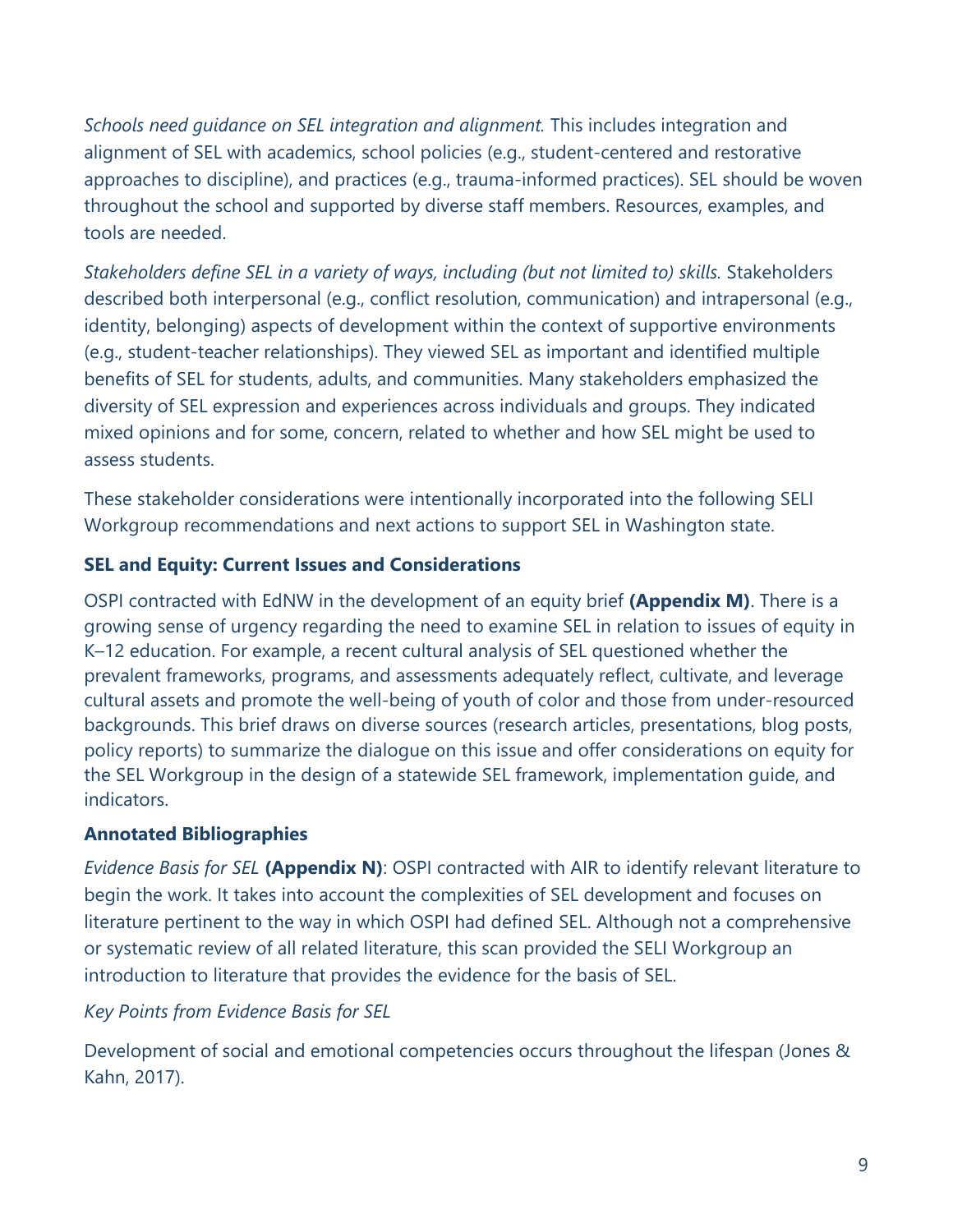*Schools need guidance on SEL integration and alignment.* This includes integration and alignment of SEL with academics, school policies (e.g., student-centered and restorative approaches to discipline), and practices (e.g., trauma-informed practices). SEL should be woven throughout the school and supported by diverse staff members. Resources, examples, and tools are needed.

*Stakeholders define SEL in a variety of ways, including (but not limited to) skills.* Stakeholders described both interpersonal (e.g., conflict resolution, communication) and intrapersonal (e.g., identity, belonging) aspects of development within the context of supportive environments (e.g., student-teacher relationships). They viewed SEL as important and identified multiple benefits of SEL for students, adults, and communities. Many stakeholders emphasized the diversity of SEL expression and experiences across individuals and groups. They indicated mixed opinions and for some, concern, related to whether and how SEL might be used to assess students.

These stakeholder considerations were intentionally incorporated into the following SELI Workgroup recommendations and next actions to support SEL in Washington state.

### **SEL and Equity: Current Issues and Considerations**

OSPI contracted with EdNW in the development of an equity brief **(Appendix M)**. There is a growing sense of urgency regarding the need to examine SEL in relation to issues of equity in K–12 education. For example, a recent cultural analysis of SEL questioned whether the prevalent frameworks, programs, and assessments adequately reflect, cultivate, and leverage cultural assets and promote the well-being of youth of color and those from under-resourced backgrounds. This brief draws on diverse sources (research articles, presentations, blog posts, policy reports) to summarize the dialogue on this issue and offer considerations on equity for the SEL Workgroup in the design of a statewide SEL framework, implementation guide, and indicators.

#### **Annotated Bibliographies**

*Evidence Basis for SEL* **(Appendix N)**: OSPI contracted with AIR to identify relevant literature to begin the work. It takes into account the complexities of SEL development and focuses on literature pertinent to the way in which OSPI had defined SEL. Although not a comprehensive or systematic review of all related literature, this scan provided the SELI Workgroup an introduction to literature that provides the evidence for the basis of SEL.

#### *Key Points from Evidence Basis for SEL*

Development of social and emotional competencies occurs throughout the lifespan (Jones & Kahn, 2017).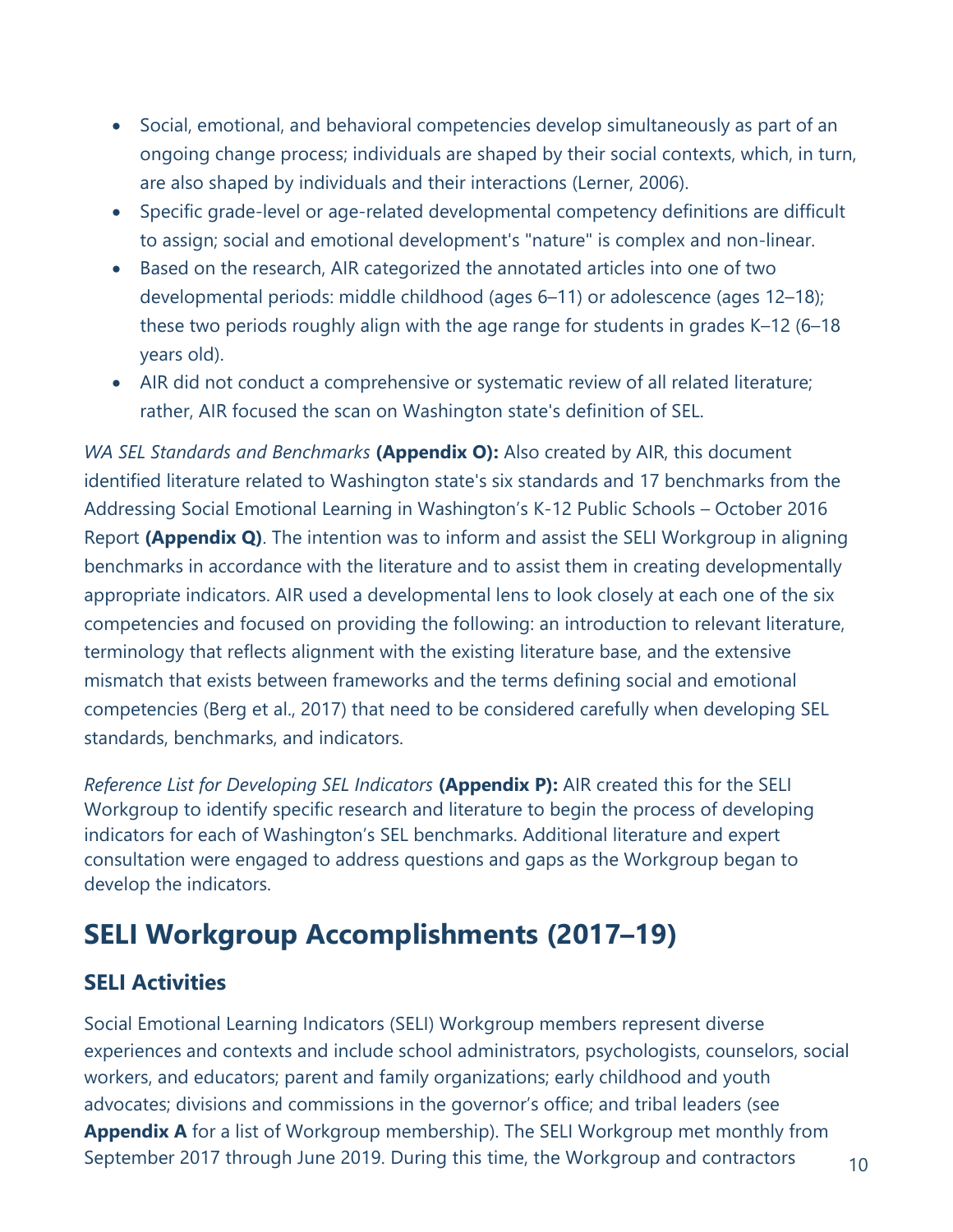- Social, emotional, and behavioral competencies develop simultaneously as part of an ongoing change process; individuals are shaped by their social contexts, which, in turn, are also shaped by individuals and their interactions (Lerner, 2006).
- Specific grade-level or age-related developmental competency definitions are difficult to assign; social and emotional development's "nature" is complex and non-linear.
- Based on the research, AIR categorized the annotated articles into one of two developmental periods: middle childhood (ages 6–11) or adolescence (ages 12–18); these two periods roughly align with the age range for students in grades K–12 (6–18 years old).
- AIR did not conduct a comprehensive or systematic review of all related literature; rather, AIR focused the scan on Washington state's definition of SEL.

*WA SEL Standards and Benchmarks* **(Appendix O):** Also created by AIR, this document identified literature related to Washington state's six standards and 17 benchmarks from the Addressing Social Emotional Learning in Washington's K-12 Public Schools – October 2016 Report **(Appendix Q)**. The intention was to inform and assist the SELI Workgroup in aligning benchmarks in accordance with the literature and to assist them in creating developmentally appropriate indicators. AIR used a developmental lens to look closely at each one of the six competencies and focused on providing the following: an introduction to relevant literature, terminology that reflects alignment with the existing literature base, and the extensive mismatch that exists between frameworks and the terms defining social and emotional competencies (Berg et al., 2017) that need to be considered carefully when developing SEL standards, benchmarks, and indicators.

*Reference List for Developing SEL Indicators* **(Appendix P):** AIR created this for the SELI Workgroup to identify specific research and literature to begin the process of developing indicators for each of Washington's SEL benchmarks. Additional literature and expert consultation were engaged to address questions and gaps as the Workgroup began to develop the indicators.

# **SELI Workgroup Accomplishments (2017–19)**

# **SELI Activities**

Social Emotional Learning Indicators (SELI) Workgroup members represent diverse experiences and contexts and include school administrators, psychologists, counselors, social workers, and educators; parent and family organizations; early childhood and youth advocates; divisions and commissions in the governor's office; and tribal leaders (see **Appendix A** for a list of Workgroup membership). The SELI Workgroup met monthly from September 2017 through June 2019. During this time, the Workgroup and contractors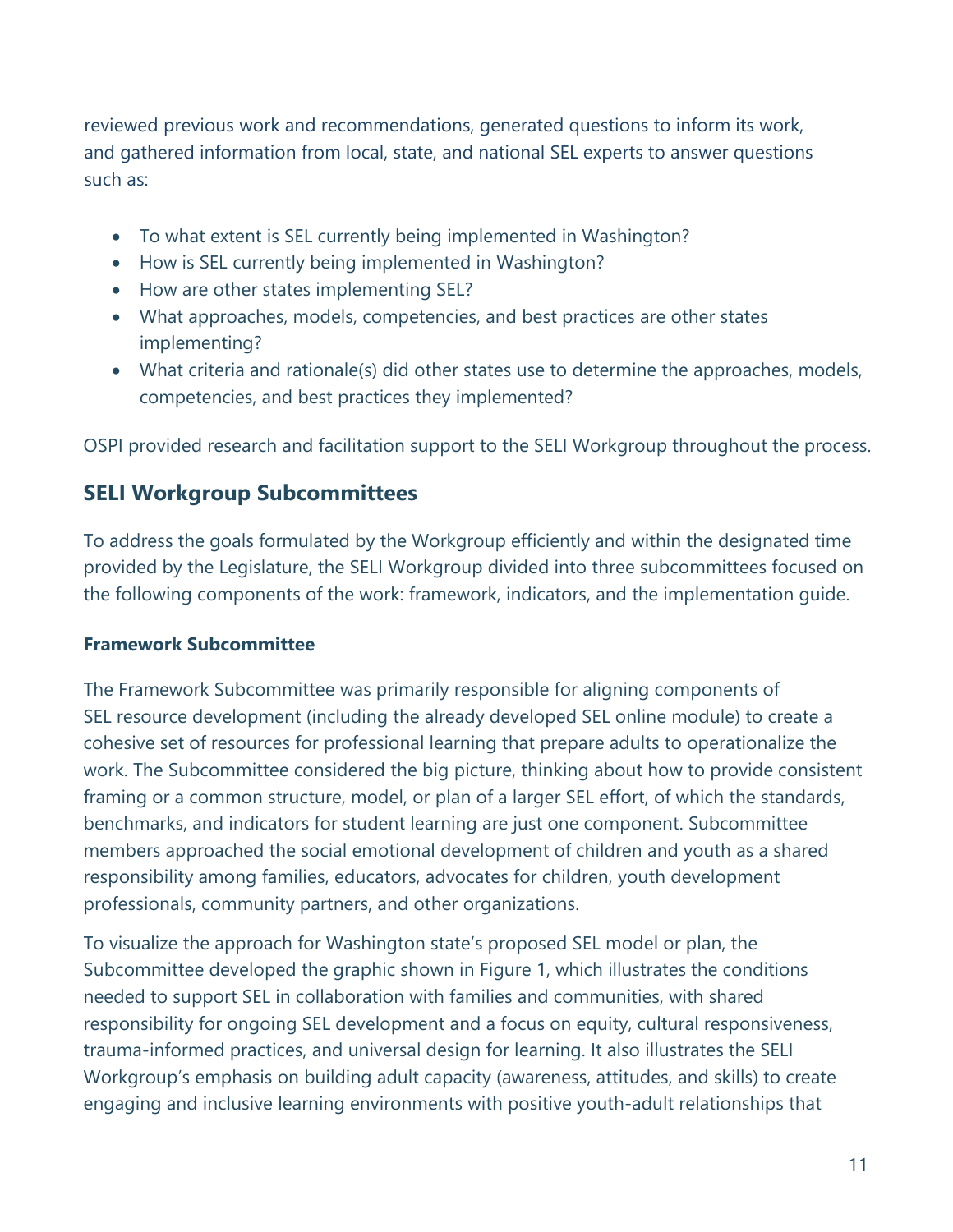reviewed previous work and recommendations, generated questions to inform its work, and gathered information from local, state, and national SEL experts to answer questions such as:

- To what extent is SEL currently being implemented in Washington?
- How is SEL currently being implemented in Washington?
- How are other states implementing SEL?
- What approaches, models, competencies, and best practices are other states implementing?
- What criteria and rationale(s) did other states use to determine the approaches, models, competencies, and best practices they implemented?

OSPI provided research and facilitation support to the SELI Workgroup throughout the process.

### **SELI Workgroup Subcommittees**

To address the goals formulated by the Workgroup efficiently and within the designated time provided by the Legislature, the SELI Workgroup divided into three subcommittees focused on the following components of the work: framework, indicators, and the implementation guide.

#### **Framework Subcommittee**

The Framework Subcommittee was primarily responsible for aligning components of SEL resource development (including the already developed SEL online module) to create a cohesive set of resources for professional learning that prepare adults to operationalize the work. The Subcommittee considered the big picture, thinking about how to provide consistent framing or a common structure, model, or plan of a larger SEL effort, of which the standards, benchmarks, and indicators for student learning are just one component. Subcommittee members approached the social emotional development of children and youth as a shared responsibility among families, educators, advocates for children, youth development professionals, community partners, and other organizations.

To visualize the approach for Washington state's proposed SEL model or plan, the Subcommittee developed the graphic shown in Figure 1, which illustrates the conditions needed to support SEL in collaboration with families and communities, with shared responsibility for ongoing SEL development and a focus on equity, cultural responsiveness, trauma-informed practices, and universal design for learning. It also illustrates the SELI Workgroup's emphasis on building adult capacity (awareness, attitudes, and skills) to create engaging and inclusive learning environments with positive youth-adult relationships that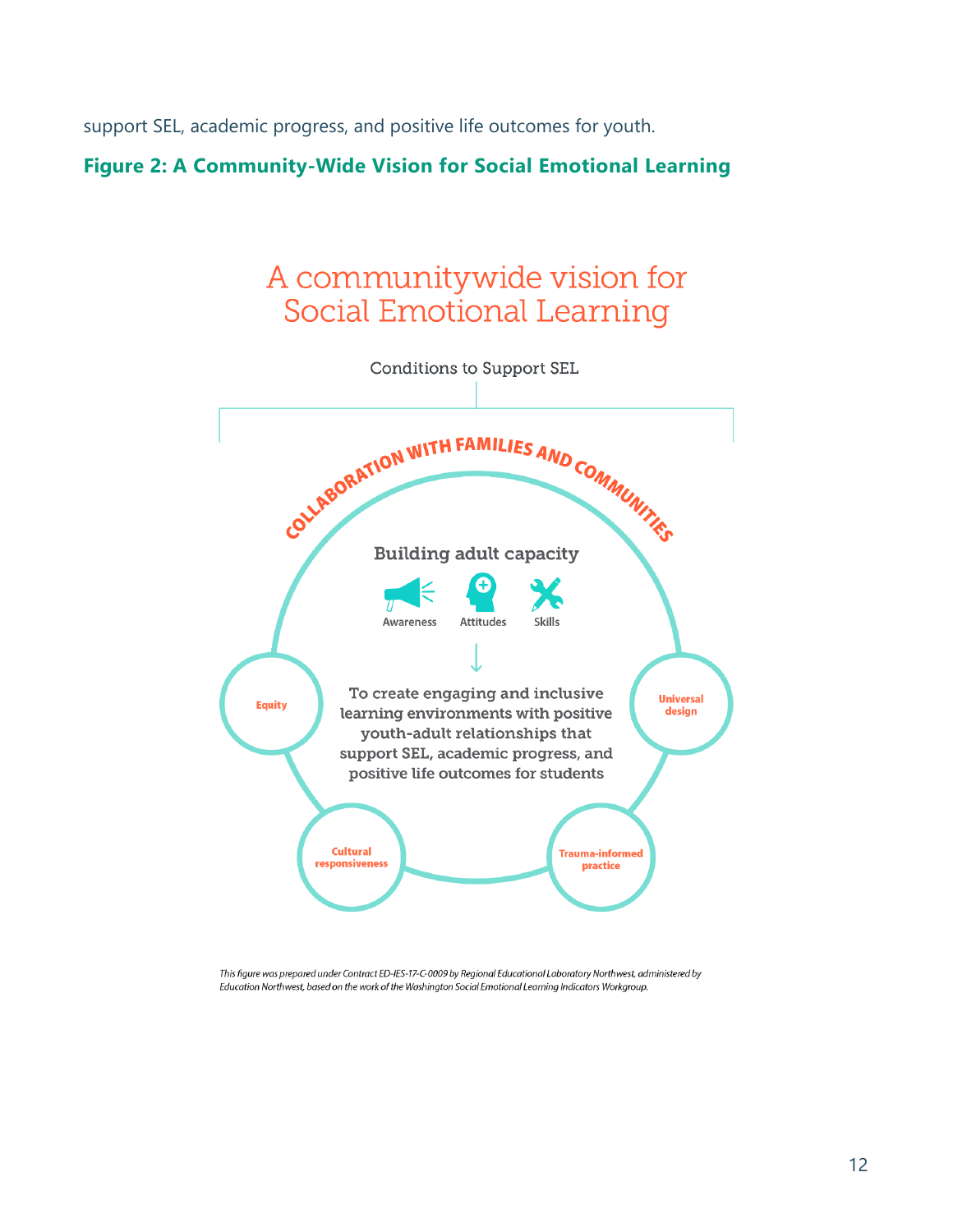support SEL, academic progress, and positive life outcomes for youth.

### <span id="page-14-0"></span>**Figure 2: A Community-Wide Vision for Social Emotional Learning**



This figure was prepared under Contract ED-IES-17-C-0009 by Regional Educational Laboratory Northwest, administered by Education Northwest, based on the work of the Washington Social Emotional Learning Indicators Workgroup.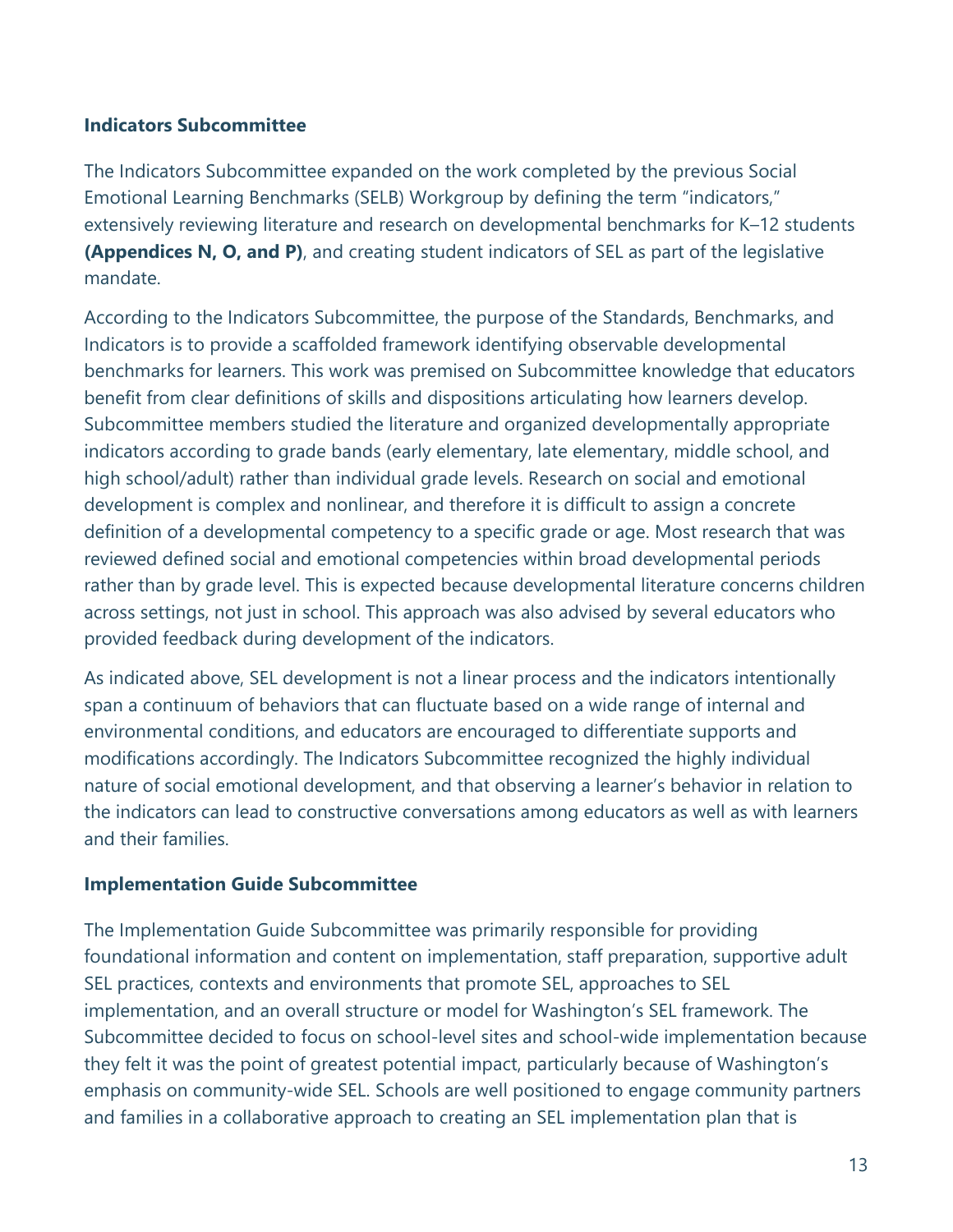#### **Indicators Subcommittee**

The Indicators Subcommittee expanded on the work completed by the previous Social Emotional Learning Benchmarks (SELB) Workgroup by defining the term "indicators," extensively reviewing literature and research on developmental benchmarks for K–12 students **(Appendices N, O, and P)**, and creating student indicators of SEL as part of the legislative mandate.

According to the Indicators Subcommittee, the purpose of the Standards, Benchmarks, and Indicators is to provide a scaffolded framework identifying observable developmental benchmarks for learners. This work was premised on Subcommittee knowledge that educators benefit from clear definitions of skills and dispositions articulating how learners develop. Subcommittee members studied the literature and organized developmentally appropriate indicators according to grade bands (early elementary, late elementary, middle school, and high school/adult) rather than individual grade levels. Research on social and emotional development is complex and nonlinear, and therefore it is difficult to assign a concrete definition of a developmental competency to a specific grade or age. Most research that was reviewed defined social and emotional competencies within broad developmental periods rather than by grade level. This is expected because developmental literature concerns children across settings, not just in school. This approach was also advised by several educators who provided feedback during development of the indicators.

As indicated above, SEL development is not a linear process and the indicators intentionally span a continuum of behaviors that can fluctuate based on a wide range of internal and environmental conditions, and educators are encouraged to differentiate supports and modifications accordingly. The Indicators Subcommittee recognized the highly individual nature of social emotional development, and that observing a learner's behavior in relation to the indicators can lead to constructive conversations among educators as well as with learners and their families.

#### **Implementation Guide Subcommittee**

The Implementation Guide Subcommittee was primarily responsible for providing foundational information and content on implementation, staff preparation, supportive adult SEL practices, contexts and environments that promote SEL, approaches to SEL implementation, and an overall structure or model for Washington's SEL framework. The Subcommittee decided to focus on school-level sites and school-wide implementation because they felt it was the point of greatest potential impact, particularly because of Washington's emphasis on community-wide SEL. Schools are well positioned to engage community partners and families in a collaborative approach to creating an SEL implementation plan that is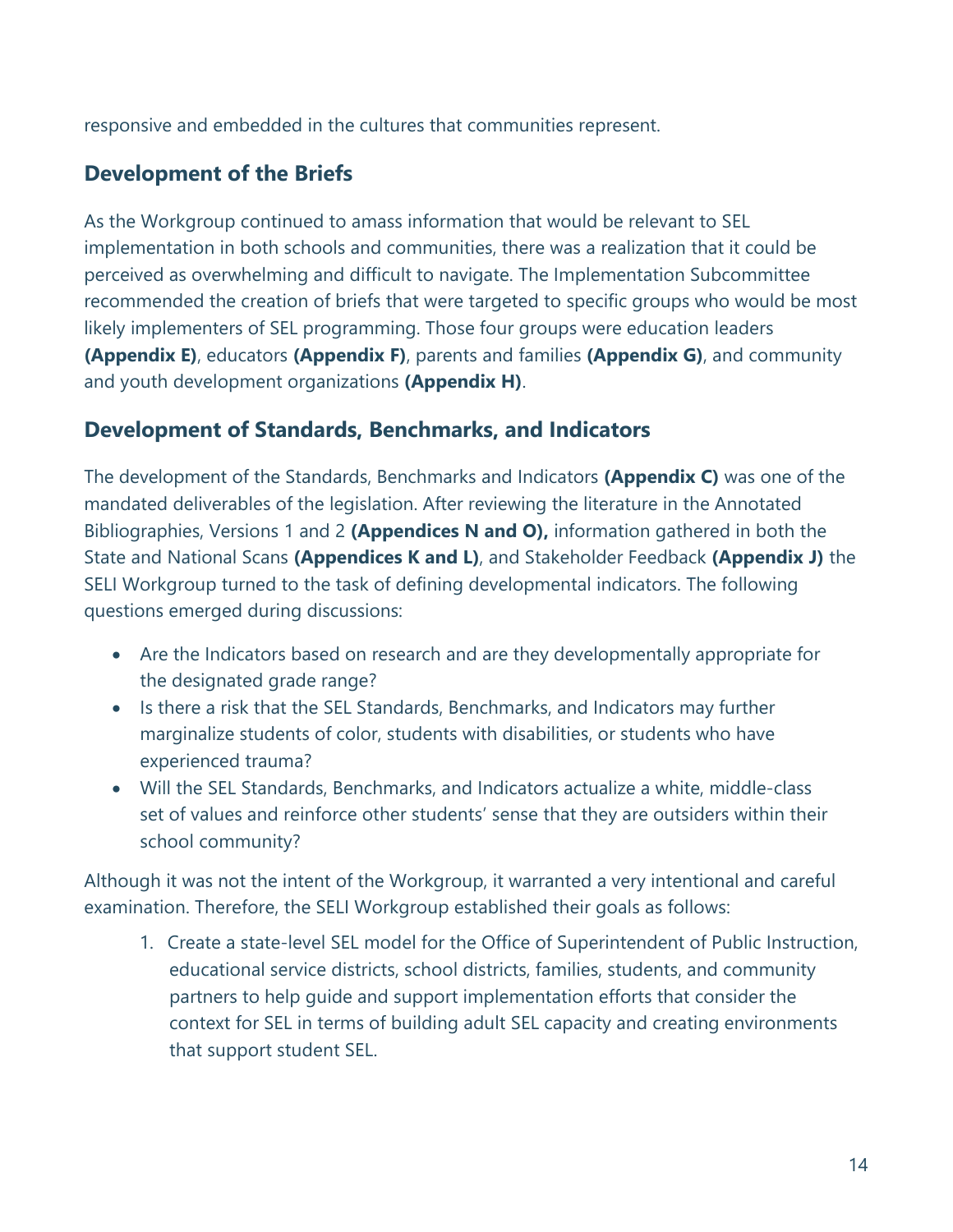responsive and embedded in the cultures that communities represent.

# **Development of the Briefs**

As the Workgroup continued to amass information that would be relevant to SEL implementation in both schools and communities, there was a realization that it could be perceived as overwhelming and difficult to navigate. The Implementation Subcommittee recommended the creation of briefs that were targeted to specific groups who would be most likely implementers of SEL programming. Those four groups were education leaders **(Appendix E)**, educators **(Appendix F)**, parents and families **(Appendix G)**, and community and youth development organizations **(Appendix H)**.

# **Development of Standards, Benchmarks, and Indicators**

The development of the Standards, Benchmarks and Indicators **(Appendix C)** was one of the mandated deliverables of the legislation. After reviewing the literature in the Annotated Bibliographies, Versions 1 and 2 **(Appendices N and O),** information gathered in both the State and National Scans **(Appendices K and L)**, and Stakeholder Feedback **(Appendix J)** the SELI Workgroup turned to the task of defining developmental indicators. The following questions emerged during discussions:

- Are the Indicators based on research and are they developmentally appropriate for the designated grade range?
- Is there a risk that the SEL Standards, Benchmarks, and Indicators may further marginalize students of color, students with disabilities, or students who have experienced trauma?
- Will the SEL Standards, Benchmarks, and Indicators actualize a white, middle-class set of values and reinforce other students' sense that they are outsiders within their school community?

Although it was not the intent of the Workgroup, it warranted a very intentional and careful examination. Therefore, the SELI Workgroup established their goals as follows:

1. Create a state-level SEL model for the Office of Superintendent of Public Instruction, educational service districts, school districts, families, students, and community partners to help guide and support implementation efforts that consider the context for SEL in terms of building adult SEL capacity and creating environments that support student SEL.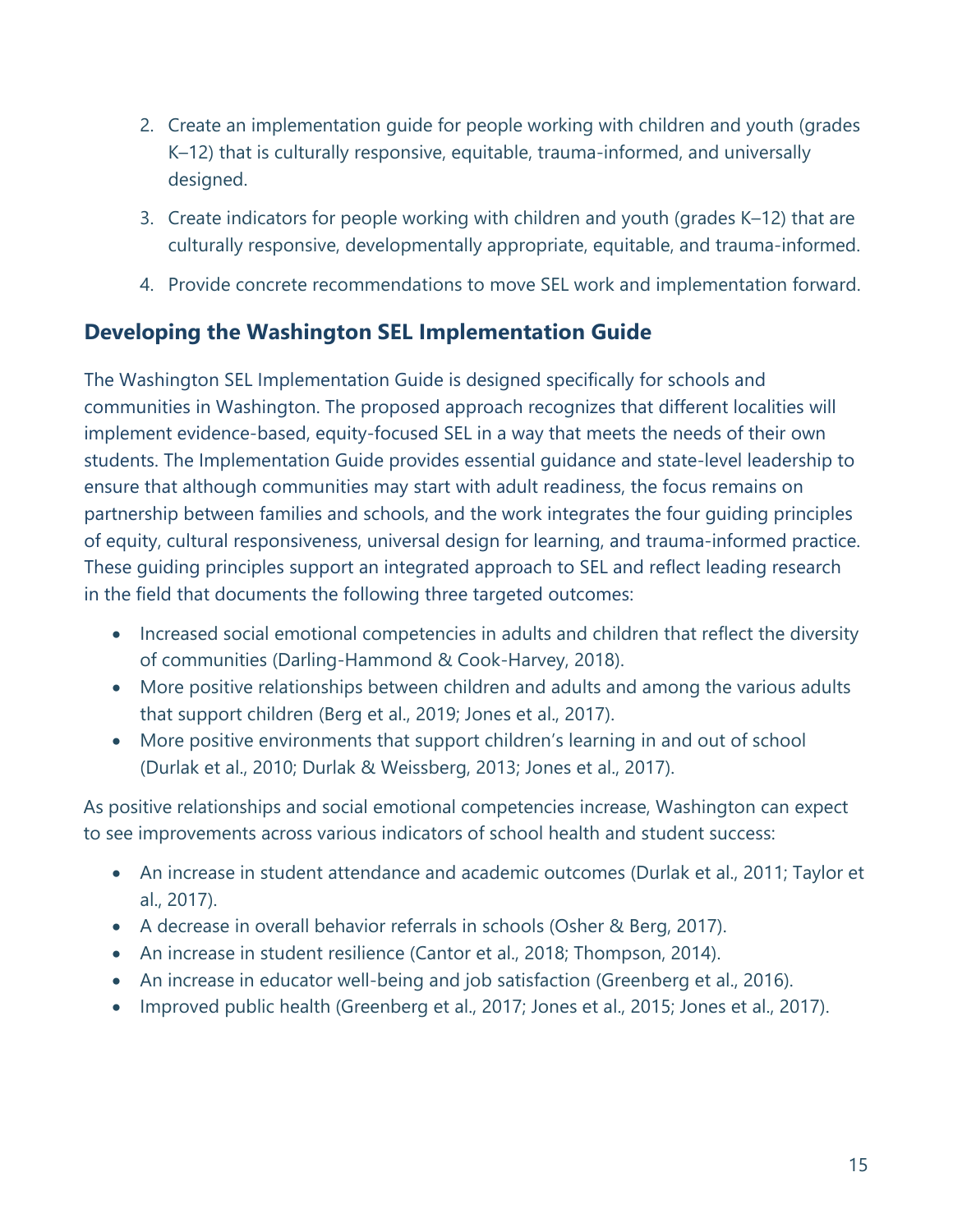- 2. Create an implementation guide for people working with children and youth (grades K–12) that is culturally responsive, equitable, trauma-informed, and universally designed.
- 3. Create indicators for people working with children and youth (grades K–12) that are culturally responsive, developmentally appropriate, equitable, and trauma-informed.
- 4. Provide concrete recommendations to move SEL work and implementation forward.

# <span id="page-17-0"></span>**Developing the Washington SEL Implementation Guide**

The Washington SEL Implementation Guide is designed specifically for schools and communities in Washington. The proposed approach recognizes that different localities will implement evidence-based, equity-focused SEL in a way that meets the needs of their own students. The Implementation Guide provides essential guidance and state-level leadership to ensure that although communities may start with adult readiness, the focus remains on partnership between families and schools, and the work integrates the four guiding principles of equity, cultural responsiveness, universal design for learning, and trauma-informed practice. These guiding principles support an integrated approach to SEL and reflect leading research in the field that documents the following three targeted outcomes:

- Increased social emotional competencies in adults and children that reflect the diversity of communities (Darling-Hammond & Cook-Harvey, 2018).
- More positive relationships between children and adults and among the various adults that support children (Berg et al., 2019; Jones et al., 2017).
- More positive environments that support children's learning in and out of school (Durlak et al., 2010; Durlak & Weissberg, 2013; Jones et al., 2017).

As positive relationships and social emotional competencies increase, Washington can expect to see improvements across various indicators of school health and student success:

- An increase in student attendance and academic outcomes (Durlak et al., 2011; Taylor et al., 2017).
- A decrease in overall behavior referrals in schools (Osher & Berg, 2017).
- An increase in student resilience (Cantor et al., 2018; Thompson, 2014).
- An increase in educator well-being and job satisfaction (Greenberg et al., 2016).
- Improved public health (Greenberg et al., 2017; Jones et al., 2015; Jones et al., 2017).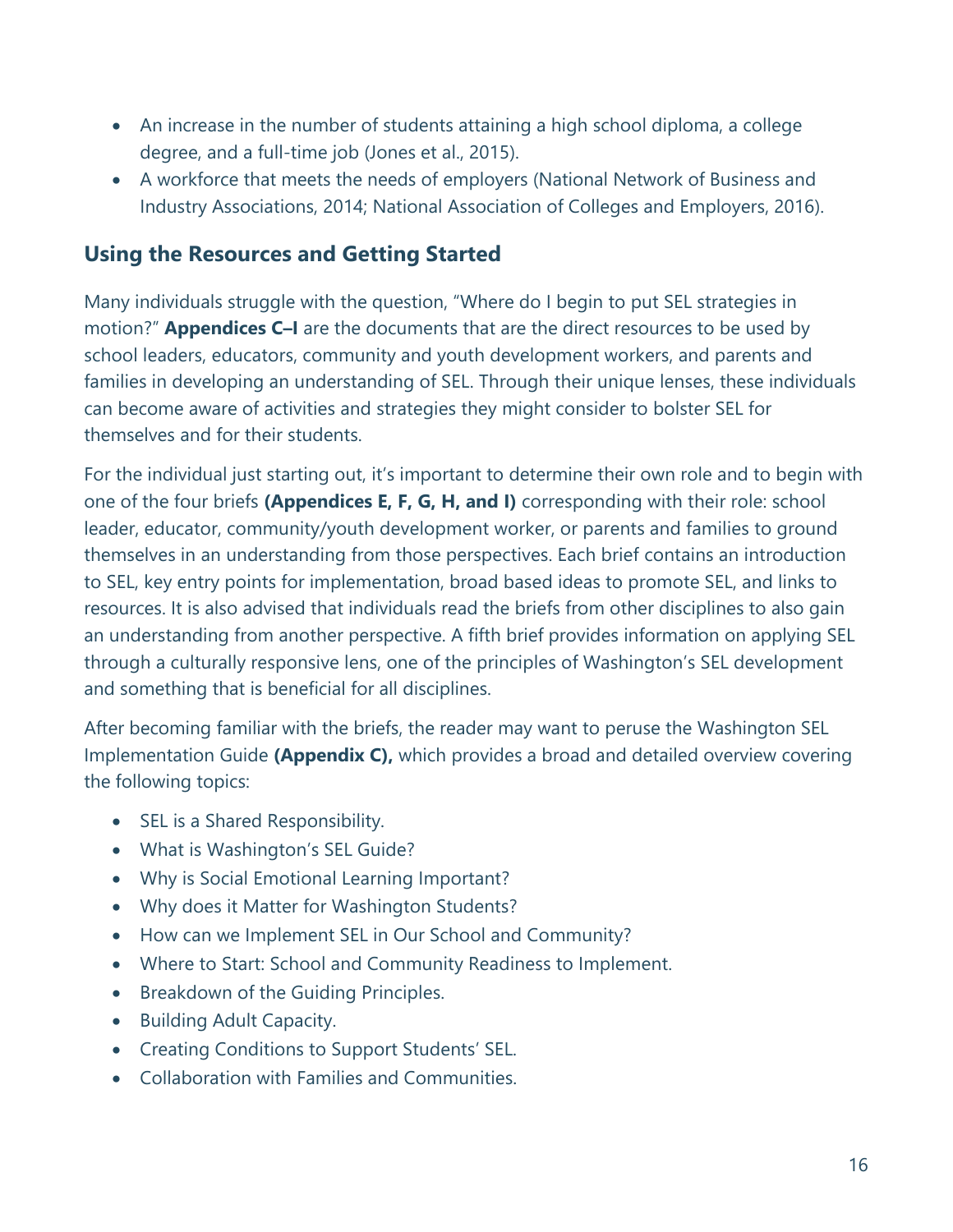- An increase in the number of students attaining a high school diploma, a college degree, and a full-time job (Jones et al., 2015).
- A workforce that meets the needs of employers (National Network of Business and Industry Associations, 2014; National Association of Colleges and Employers, 2016).

### **Using the Resources and Getting Started**

Many individuals struggle with the question, "Where do I begin to put SEL strategies in motion?" **Appendices C–I** are the documents that are the direct resources to be used by school leaders, educators, community and youth development workers, and parents and families in developing an understanding of SEL. Through their unique lenses, these individuals can become aware of activities and strategies they might consider to bolster SEL for themselves and for their students.

For the individual just starting out, it's important to determine their own role and to begin with one of the four briefs **(Appendices E, F, G, H, and I)** corresponding with their role: school leader, educator, community/youth development worker, or parents and families to ground themselves in an understanding from those perspectives. Each brief contains an introduction to SEL, key entry points for implementation, broad based ideas to promote SEL, and links to resources. It is also advised that individuals read the briefs from other disciplines to also gain an understanding from another perspective. A fifth brief provides information on applying SEL through a culturally responsive lens, one of the principles of Washington's SEL development and something that is beneficial for all disciplines.

After becoming familiar with the briefs, the reader may want to peruse the Washington SEL Implementation Guide **(Appendix C),** which provides a broad and detailed overview covering the following topics:

- SEL is a Shared Responsibility.
- What is Washington's SEL Guide?
- Why is Social Emotional Learning Important?
- Why does it Matter for Washington Students?
- How can we Implement SEL in Our School and Community?
- Where to Start: School and Community Readiness to Implement.
- Breakdown of the Guiding Principles.
- Building Adult Capacity.
- Creating Conditions to Support Students' SEL.
- Collaboration with Families and Communities.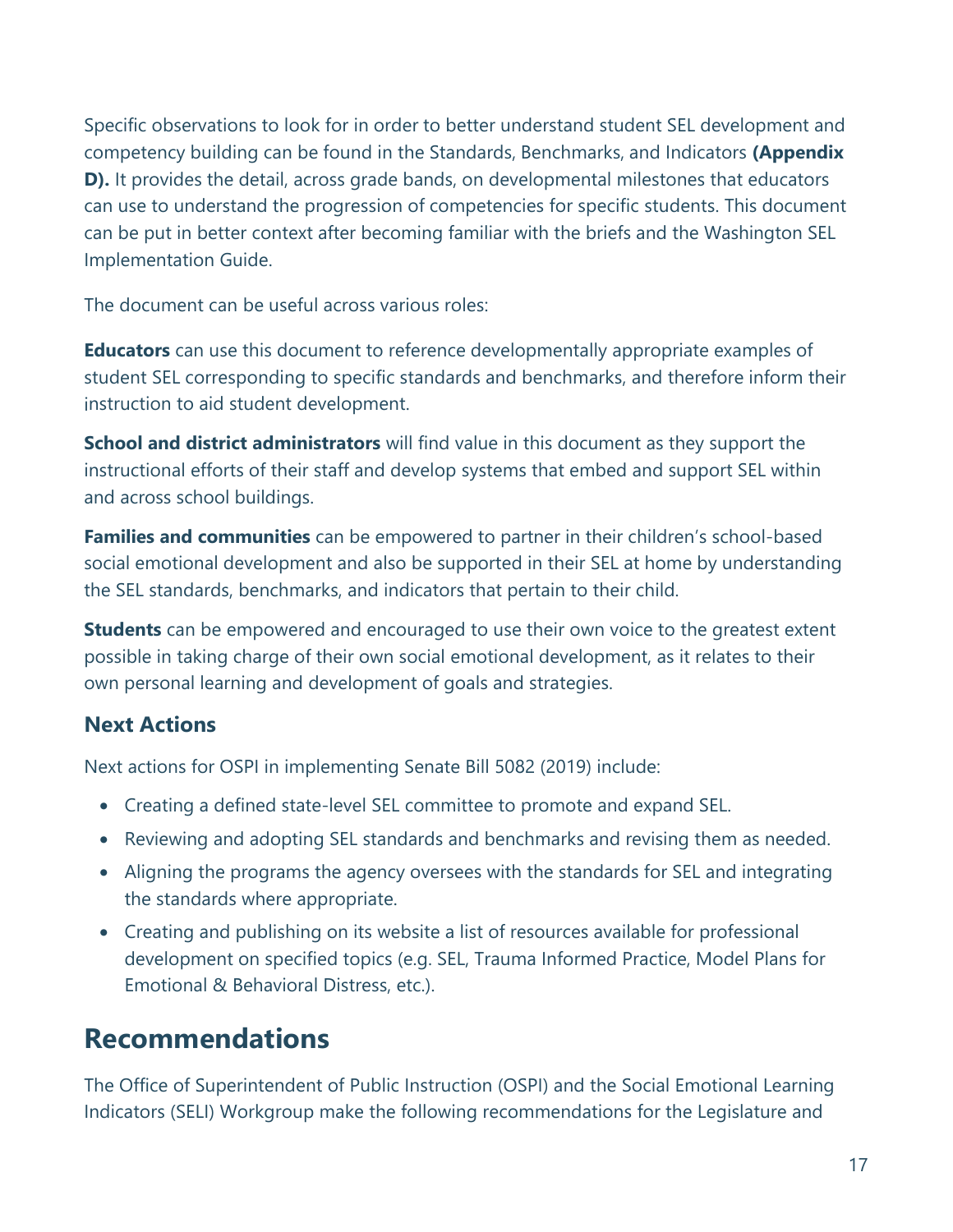Specific observations to look for in order to better understand student SEL development and competency building can be found in the Standards, Benchmarks, and Indicators **(Appendix D).** It provides the detail, across grade bands, on developmental milestones that educators can use to understand the progression of competencies for specific students. This document can be put in better context after becoming familiar with the briefs and the Washington SEL Implementation Guide.

The document can be useful across various roles:

**Educators** can use this document to reference developmentally appropriate examples of student SEL corresponding to specific standards and benchmarks, and therefore inform their instruction to aid student development.

**School and district administrators** will find value in this document as they support the instructional efforts of their staff and develop systems that embed and support SEL within and across school buildings.

**Families and communities** can be empowered to partner in their children's school-based social emotional development and also be supported in their SEL at home by understanding the SEL standards, benchmarks, and indicators that pertain to their child.

**Students** can be empowered and encouraged to use their own voice to the greatest extent possible in taking charge of their own social emotional development, as it relates to their own personal learning and development of goals and strategies.

# <span id="page-19-0"></span>**Next Actions**

Next actions for OSPI in implementing Senate Bill 5082 (2019) include:

- Creating a defined state-level SEL committee to promote and expand SEL.
- Reviewing and adopting SEL standards and benchmarks and revising them as needed.
- Aligning the programs the agency oversees with the standards for SEL and integrating the standards where appropriate.
- Creating and publishing on its website a list of resources available for professional development on specified topics (e.g. SEL, Trauma Informed Practice, Model Plans for Emotional & Behavioral Distress, etc.).

# **Recommendations**

The Office of Superintendent of Public Instruction (OSPI) and the Social Emotional Learning Indicators (SELI) Workgroup make the following recommendations for the Legislature and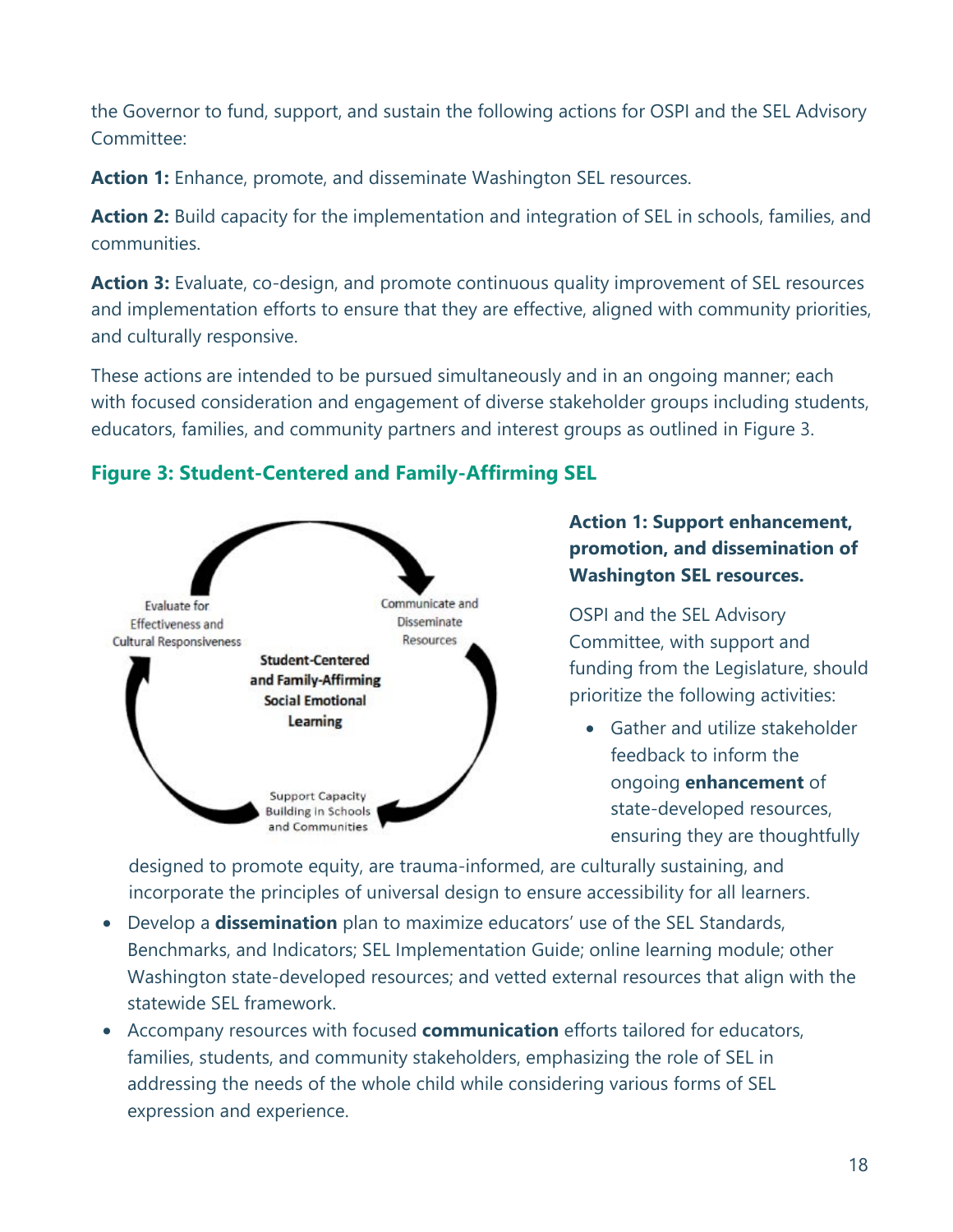the Governor to fund, support, and sustain the following actions for OSPI and the SEL Advisory Committee:

**Action 1:** Enhance, promote, and disseminate Washington SEL resources.

**Action 2:** Build capacity for the implementation and integration of SEL in schools, families, and communities.

**Action 3:** Evaluate, co-design, and promote continuous quality improvement of SEL resources and implementation efforts to ensure that they are effective, aligned with community priorities, and culturally responsive.

These actions are intended to be pursued simultaneously and in an ongoing manner; each with focused consideration and engagement of diverse stakeholder groups including students, educators, families, and community partners and interest groups as outlined in Figure 3.

### **Figure 3: Student-Centered and Family-Affirming SEL**



### **Action 1: Support enhancement, promotion, and dissemination of Washington SEL resources.**

OSPI and the SEL Advisory Committee, with support and funding from the Legislature, should prioritize the following activities:

• Gather and utilize stakeholder feedback to inform the ongoing **enhancement** of state-developed resources, ensuring they are thoughtfully

designed to promote equity, are trauma-informed, are culturally sustaining, and incorporate the principles of universal design to ensure accessibility for all learners.

- Develop a **dissemination** plan to maximize educators' use of the SEL Standards, Benchmarks, and Indicators; SEL Implementation Guide; online learning module; other Washington state-developed resources; and vetted external resources that align with the statewide SEL framework.
- Accompany resources with focused **communication** efforts tailored for educators, families, students, and community stakeholders, emphasizing the role of SEL in addressing the needs of the whole child while considering various forms of SEL expression and experience.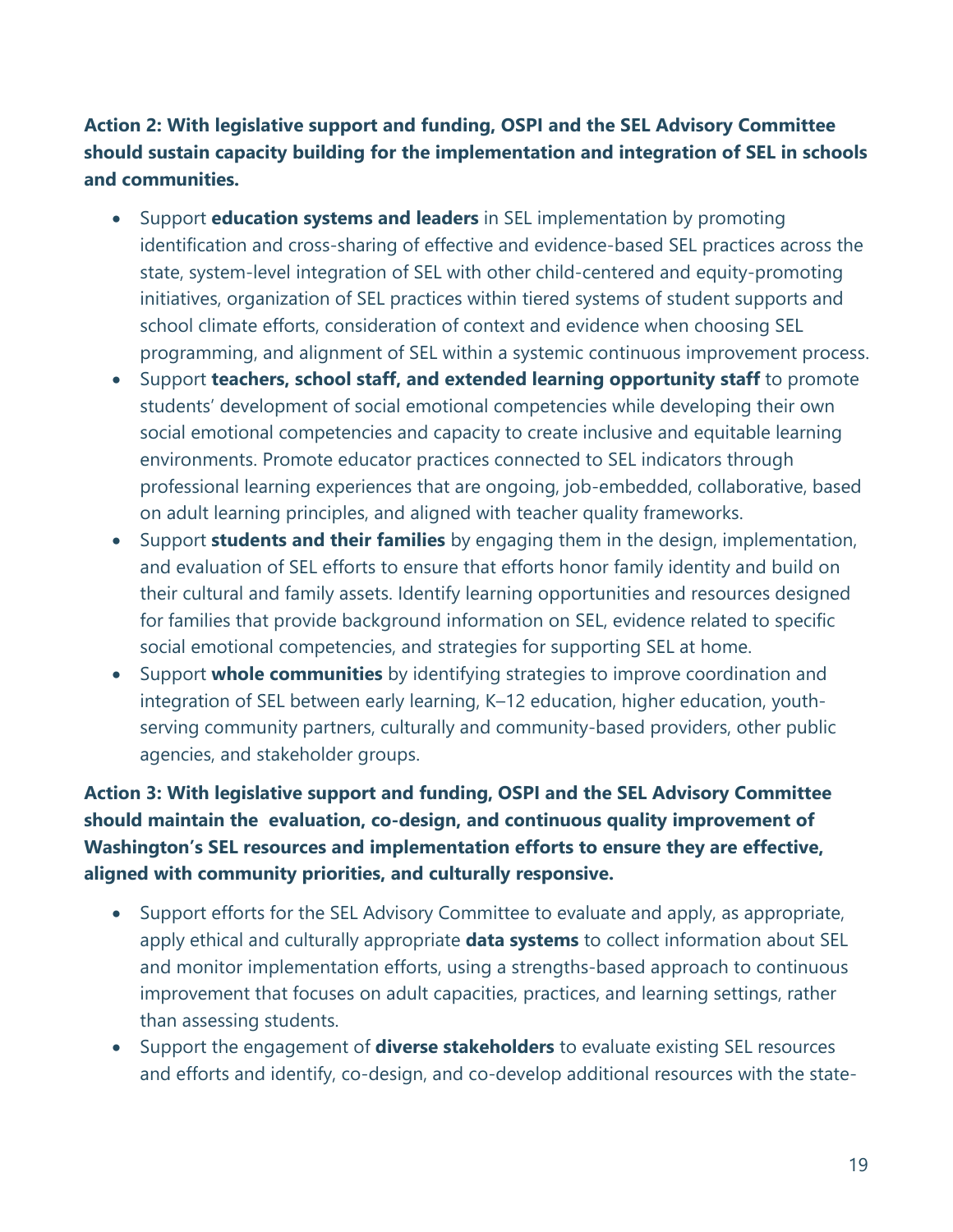### **Action 2: With legislative support and funding, OSPI and the SEL Advisory Committee should sustain capacity building for the implementation and integration of SEL in schools and communities.**

- Support **education systems and leaders** in SEL implementation by promoting identification and cross-sharing of effective and evidence-based SEL practices across the state, system-level integration of SEL with other child-centered and equity-promoting initiatives, organization of SEL practices within tiered systems of student supports and school climate efforts, consideration of context and evidence when choosing SEL programming, and alignment of SEL within a systemic continuous improvement process.
- Support **teachers, school staff, and extended learning opportunity staff** to promote students' development of social emotional competencies while developing their own social emotional competencies and capacity to create inclusive and equitable learning environments. Promote educator practices connected to SEL indicators through professional learning experiences that are ongoing, job-embedded, collaborative, based on adult learning principles, and aligned with teacher quality frameworks.
- Support **students and their families** by engaging them in the design, implementation, and evaluation of SEL efforts to ensure that efforts honor family identity and build on their cultural and family assets. Identify learning opportunities and resources designed for families that provide background information on SEL, evidence related to specific social emotional competencies, and strategies for supporting SEL at home.
- Support **whole communities** by identifying strategies to improve coordination and integration of SEL between early learning, K–12 education, higher education, youthserving community partners, culturally and community-based providers, other public agencies, and stakeholder groups.

**Action 3: With legislative support and funding, OSPI and the SEL Advisory Committee should maintain the evaluation, co-design, and continuous quality improvement of Washington's SEL resources and implementation efforts to ensure they are effective, aligned with community priorities, and culturally responsive.**

- Support efforts for the SEL Advisory Committee to evaluate and apply, as appropriate, apply ethical and culturally appropriate **data systems** to collect information about SEL and monitor implementation efforts, using a strengths-based approach to continuous improvement that focuses on adult capacities, practices, and learning settings, rather than assessing students.
- Support the engagement of **diverse stakeholders** to evaluate existing SEL resources and efforts and identify, co-design, and co-develop additional resources with the state-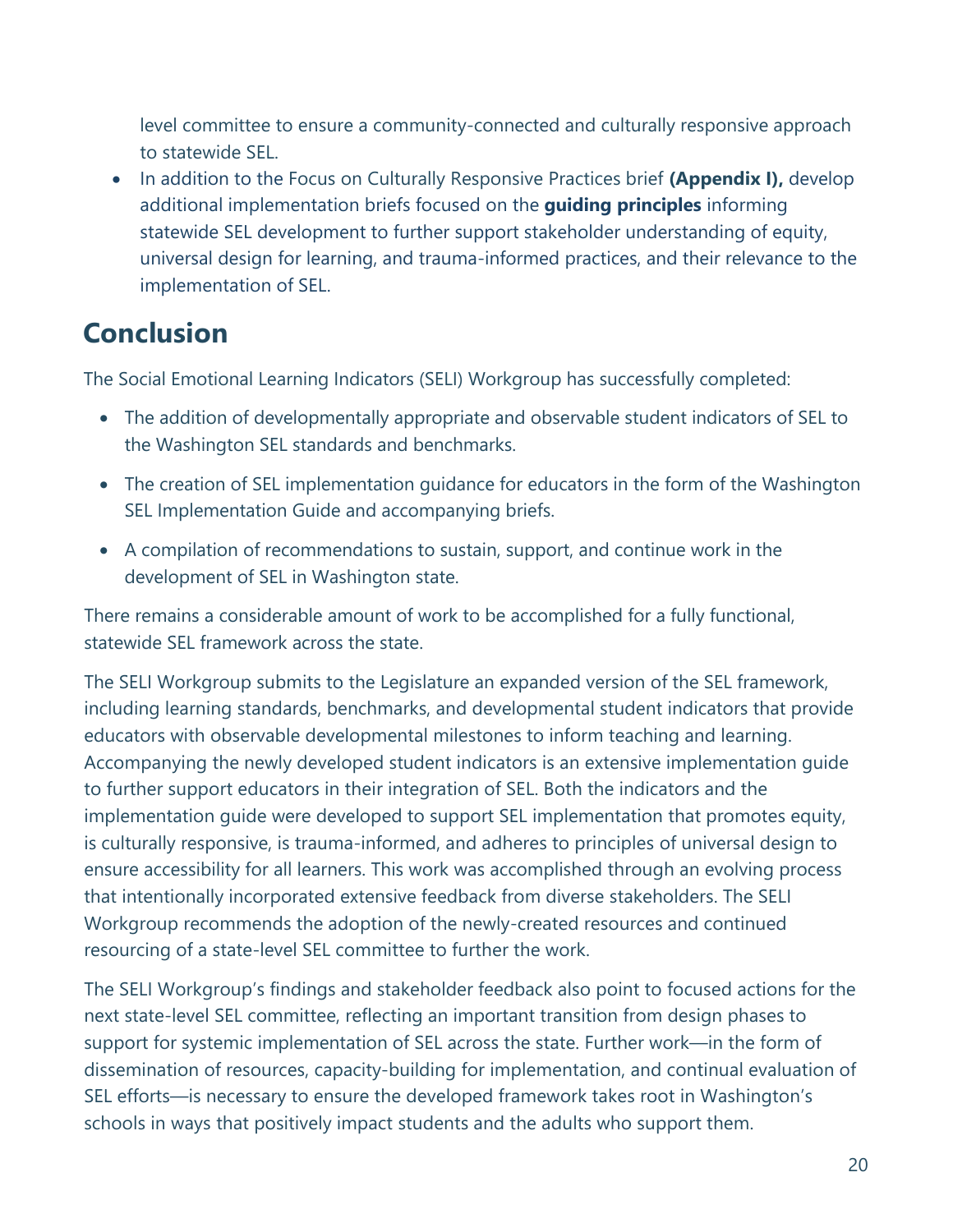level committee to ensure a community-connected and culturally responsive approach to statewide SEL.

• In addition to the Focus on Culturally Responsive Practices brief **(Appendix I),** develop additional implementation briefs focused on the **guiding principles** informing statewide SEL development to further support stakeholder understanding of equity, universal design for learning, and trauma-informed practices, and their relevance to the implementation of SEL.

# <span id="page-22-0"></span>**Conclusion**

The Social Emotional Learning Indicators (SELI) Workgroup has successfully completed:

- The addition of developmentally appropriate and observable student indicators of SEL to the Washington SEL standards and benchmarks.
- The creation of SEL implementation guidance for educators in the form of the Washington SEL Implementation Guide and accompanying briefs.
- A compilation of recommendations to sustain, support, and continue work in the development of SEL in Washington state.

There remains a considerable amount of work to be accomplished for a fully functional, statewide SEL framework across the state.

The SELI Workgroup submits to the Legislature an expanded version of the SEL framework, including learning standards, benchmarks, and developmental student indicators that provide educators with observable developmental milestones to inform teaching and learning. Accompanying the newly developed student indicators is an extensive implementation guide to further support educators in their integration of SEL. Both the indicators and the implementation guide were developed to support SEL implementation that promotes equity, is culturally responsive, is trauma-informed, and adheres to principles of universal design to ensure accessibility for all learners. This work was accomplished through an evolving process that intentionally incorporated extensive feedback from diverse stakeholders. The SELI Workgroup recommends the adoption of the newly-created resources and continued resourcing of a state-level SEL committee to further the work.

The SELI Workgroup's findings and stakeholder feedback also point to focused actions for the next state-level SEL committee, reflecting an important transition from design phases to support for systemic implementation of SEL across the state. Further work—in the form of dissemination of resources, capacity-building for implementation, and continual evaluation of SEL efforts—is necessary to ensure the developed framework takes root in Washington's schools in ways that positively impact students and the adults who support them.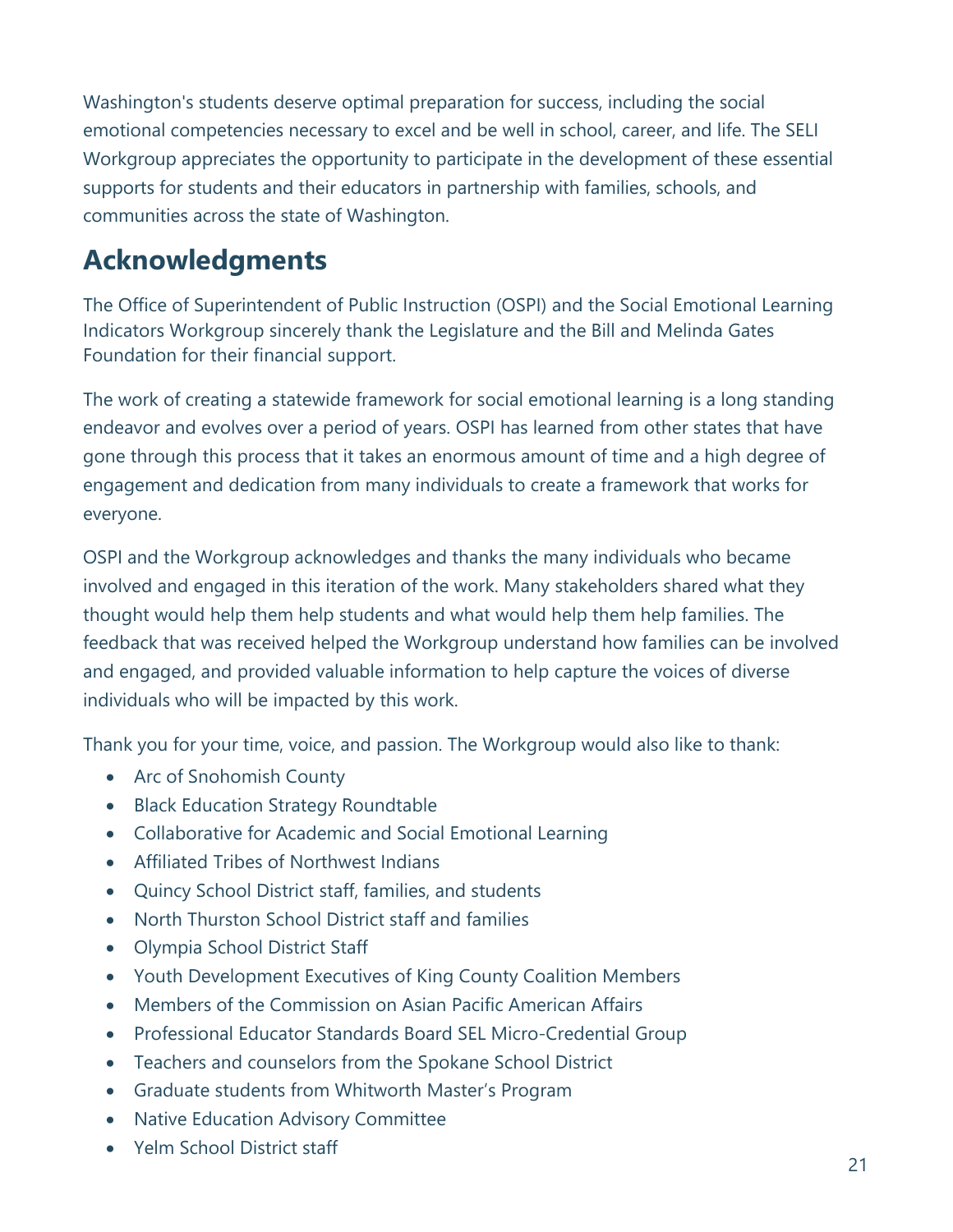<span id="page-23-0"></span>Washington's students deserve optimal preparation for success, including the social emotional competencies necessary to excel and be well in school, career, and life. The SELI Workgroup appreciates the opportunity to participate in the development of these essential supports for students and their educators in partnership with families, schools, and communities across the state of Washington.

# **Acknowledgments**

The Office of Superintendent of Public Instruction (OSPI) and the Social Emotional Learning Indicators Workgroup sincerely thank the Legislature and the Bill and Melinda Gates Foundation for their financial support.

The work of creating a statewide framework for social emotional learning is a long standing endeavor and evolves over a period of years. OSPI has learned from other states that have gone through this process that it takes an enormous amount of time and a high degree of engagement and dedication from many individuals to create a framework that works for everyone.

OSPI and the Workgroup acknowledges and thanks the many individuals who became involved and engaged in this iteration of the work. Many stakeholders shared what they thought would help them help students and what would help them help families. The feedback that was received helped the Workgroup understand how families can be involved and engaged, and provided valuable information to help capture the voices of diverse individuals who will be impacted by this work.

Thank you for your time, voice, and passion. The Workgroup would also like to thank:

- Arc of Snohomish County
- Black Education Strategy Roundtable
- Collaborative for Academic and Social Emotional Learning
- Affiliated Tribes of Northwest Indians
- Quincy School District staff, families, and students
- North Thurston School District staff and families
- Olympia School District Staff
- Youth Development Executives of King County Coalition Members
- Members of the Commission on Asian Pacific American Affairs
- Professional Educator Standards Board SEL Micro-Credential Group
- Teachers and counselors from the Spokane School District
- Graduate students from Whitworth Master's Program
- Native Education Advisory Committee
- Yelm School District staff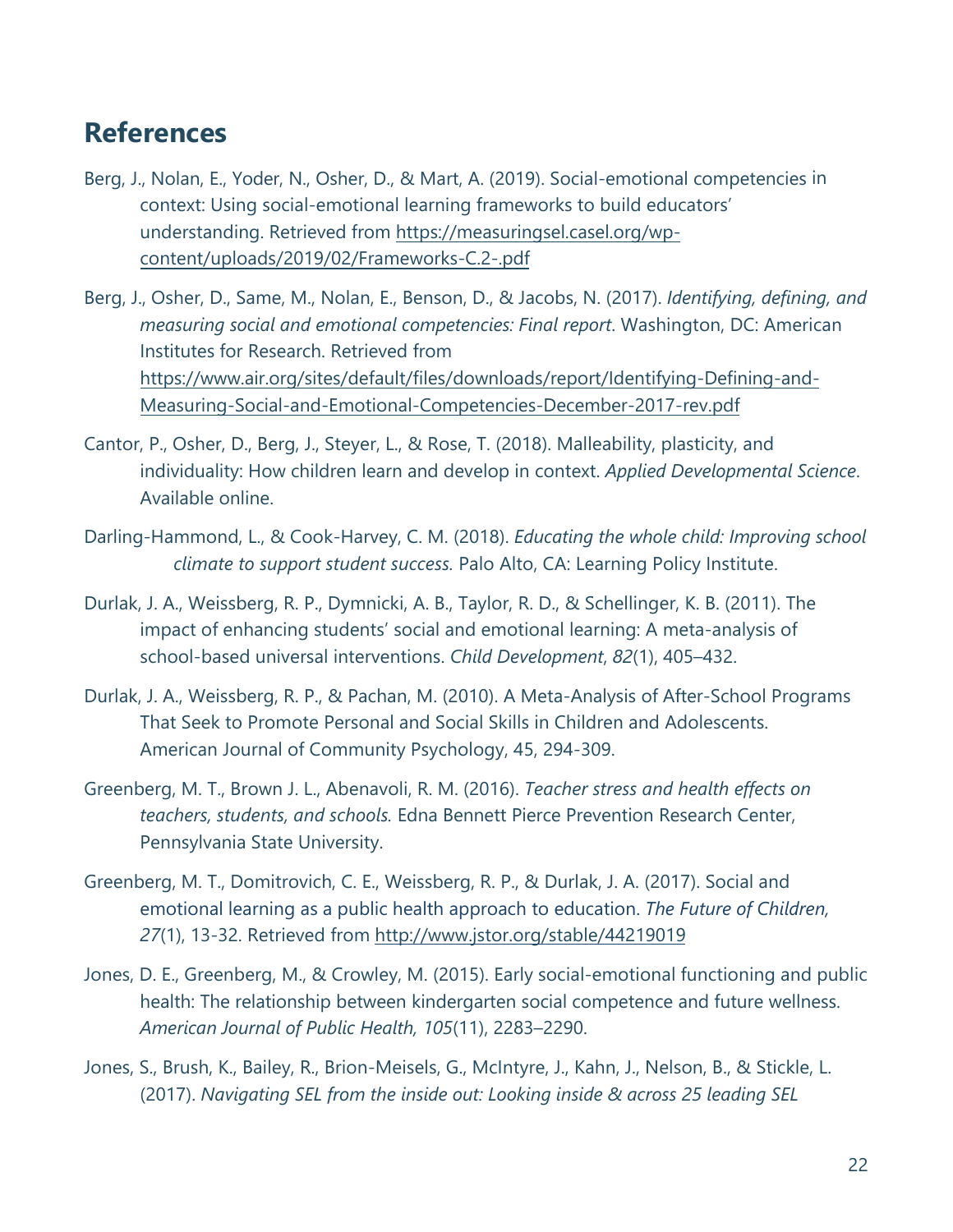# <span id="page-24-0"></span>**References**

- Berg, J., Nolan, E., Yoder, N., Osher, D., & Mart, A. (2019). Social-emotional competencies in context: Using social-emotional learning frameworks to build educators' understanding. Retrieved from [https://measuringsel](https://measuringsel.casel.org/wp-content/uploads/2019/02/Frameworks-C.2-.pdf).casel.org/wpcontent/uploads/2019/02/Frameworks-C.2-.pdf
- Berg, J., Osher, D., Same, M., Nolan, E., Benson, D., & Jacobs, N. (2017). *Identifying, defining, and measuring social and emotional competencies: Final report*. Washington, DC: American Institutes for Research. Retrieved from [https://www.air.org/sites/default/files/downloads/report/Identifying-Defining-and-](https://www.air.org/sites/default/files/downloads/report/Identifying-Defining-and-Measuring-Social-and-Emotional-Competencies-December-2017-rev.pdf)[Measuring-Social-and-Emotional-Competencies-December-2017-rev.pdf](https://www.air.org/sites/default/files/downloads/report/Identifying-Defining-and-Measuring-Social-and-Emotional-Competencies-December-2017-rev.pdf)
- Cantor, P., Osher, D., Berg, J., Steyer, L., & Rose, T. (2018). Malleability, plasticity, and individuality: How children learn and develop in context. *Applied Developmental Science*. Available online.
- Darling-Hammond, L., & Cook-Harvey, C. M. (2018). *Educating the whole child: Improving school climate to support student success.* Palo Alto, CA: Learning Policy Institute.
- Durlak, J. A., Weissberg, R. P., Dymnicki, A. B., Taylor, R. D., & Schellinger, K. B. (2011). The impact of enhancing students' social and emotional learning: A meta-analysis of school-based universal interventions. *Child Development*, *82*(1), 405–432.
- Durlak, J. A., Weissberg, R. P., & Pachan, M. (2010). A Meta-Analysis of After-School Programs That Seek to Promote Personal and Social Skills in Children and Adolescents. American Journal of Community Psychology, 45, 294-309.
- Greenberg, M. T., Brown J. L., Abenavoli, R. M. (2016). *Teacher stress and health effects on teachers, students, and schools.* Edna Bennett Pierce Prevention Research Center, Pennsylvania State University.
- Greenberg, M. T., Domitrovich, C. E., Weissberg, R. P., & Durlak, J. A. (2017). Social and emotional learning as a public health approach to education. *The Future of Children, 27*(1), 13-32. Retrieved from <http://www.jstor.org/stable/44219019>
- Jones, D. E., Greenberg, M., & Crowley, M. (2015). Early social-emotional functioning and public health: The relationship between kindergarten social competence and future wellness. *American Journal of Public Health, 105*(11), 2283–2290.
- Jones, S., Brush, K., Bailey, R., Brion-Meisels, G., McIntyre, J., Kahn, J., Nelson, B., & Stickle, L. (2017). *Navigating SEL from the inside out: Looking inside & across 25 leading SEL*